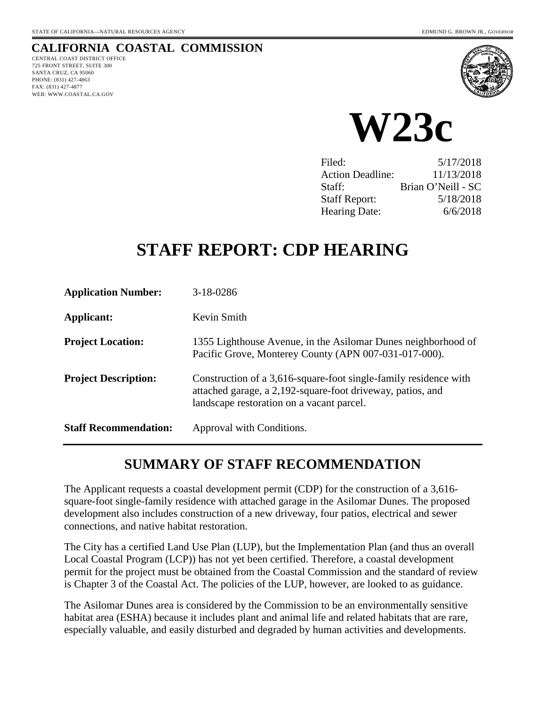# **CALIFORNIA COASTAL COMMISSION**

CENTRAL COAST DISTRICT OFFICE 725 FRONT STREET, SUITE 300 SANTA CRUZ, CA 95060 PHONE: (831) 427-4863 FAX: (831) 427-4877 WEB: WWW.COASTAL.CA.GOV





| Filed:                  | 5/17/2018          |
|-------------------------|--------------------|
| <b>Action Deadline:</b> | 11/13/2018         |
| Staff:                  | Brian O'Neill - SC |
| <b>Staff Report:</b>    | 5/18/2018          |
| <b>Hearing Date:</b>    | 6/6/2018           |

# **STAFF REPORT: CDP HEARING**

| <b>Application Number:</b>   | $3-18-0286$                                                                                                                                                                 |
|------------------------------|-----------------------------------------------------------------------------------------------------------------------------------------------------------------------------|
| Applicant:                   | Kevin Smith                                                                                                                                                                 |
| <b>Project Location:</b>     | 1355 Lighthouse Avenue, in the Asilomar Dunes neighborhood of<br>Pacific Grove, Monterey County (APN 007-031-017-000).                                                      |
| <b>Project Description:</b>  | Construction of a 3,616-square-foot single-family residence with<br>attached garage, a 2,192-square-foot driveway, patios, and<br>landscape restoration on a vacant parcel. |
| <b>Staff Recommendation:</b> | Approval with Conditions.                                                                                                                                                   |

# **SUMMARY OF STAFF RECOMMENDATION**

The Applicant requests a coastal development permit (CDP) for the construction of a 3,616 square-foot single-family residence with attached garage in the Asilomar Dunes. The proposed development also includes construction of a new driveway, four patios, electrical and sewer connections, and native habitat restoration.

The City has a certified Land Use Plan (LUP), but the Implementation Plan (and thus an overall Local Coastal Program (LCP)) has not yet been certified. Therefore, a coastal development permit for the project must be obtained from the Coastal Commission and the standard of review is Chapter 3 of the Coastal Act. The policies of the LUP, however, are looked to as guidance.

The Asilomar Dunes area is considered by the Commission to be an environmentally sensitive habitat area (ESHA) because it includes plant and animal life and related habitats that are rare, especially valuable, and easily disturbed and degraded by human activities and developments.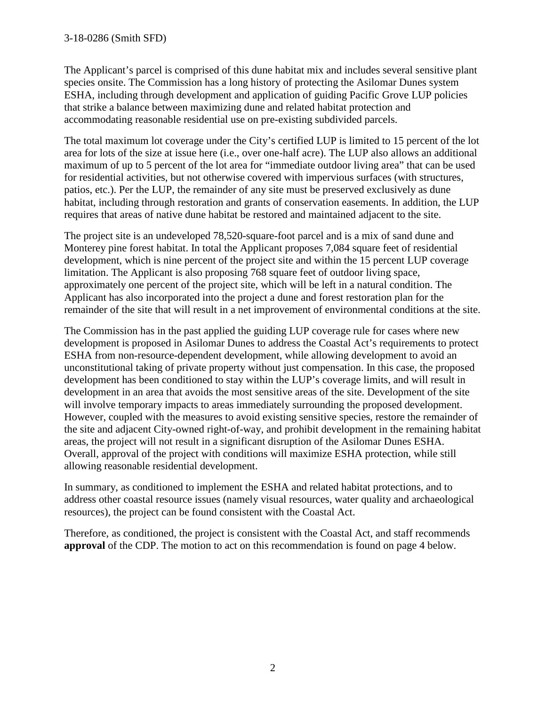#### 3-18-0286 (Smith SFD)

The Applicant's parcel is comprised of this dune habitat mix and includes several sensitive plant species onsite. The Commission has a long history of protecting the Asilomar Dunes system ESHA, including through development and application of guiding Pacific Grove LUP policies that strike a balance between maximizing dune and related habitat protection and accommodating reasonable residential use on pre-existing subdivided parcels.

The total maximum lot coverage under the City's certified LUP is limited to 15 percent of the lot area for lots of the size at issue here (i.e., over one-half acre). The LUP also allows an additional maximum of up to 5 percent of the lot area for "immediate outdoor living area" that can be used for residential activities, but not otherwise covered with impervious surfaces (with structures, patios, etc.). Per the LUP, the remainder of any site must be preserved exclusively as dune habitat, including through restoration and grants of conservation easements. In addition, the LUP requires that areas of native dune habitat be restored and maintained adjacent to the site.

The project site is an undeveloped 78,520-square-foot parcel and is a mix of sand dune and Monterey pine forest habitat. In total the Applicant proposes 7,084 square feet of residential development, which is nine percent of the project site and within the 15 percent LUP coverage limitation. The Applicant is also proposing 768 square feet of outdoor living space, approximately one percent of the project site, which will be left in a natural condition. The Applicant has also incorporated into the project a dune and forest restoration plan for the remainder of the site that will result in a net improvement of environmental conditions at the site.

The Commission has in the past applied the guiding LUP coverage rule for cases where new development is proposed in Asilomar Dunes to address the Coastal Act's requirements to protect ESHA from non-resource-dependent development, while allowing development to avoid an unconstitutional taking of private property without just compensation. In this case, the proposed development has been conditioned to stay within the LUP's coverage limits, and will result in development in an area that avoids the most sensitive areas of the site. Development of the site will involve temporary impacts to areas immediately surrounding the proposed development. However, coupled with the measures to avoid existing sensitive species, restore the remainder of the site and adjacent City-owned right-of-way, and prohibit development in the remaining habitat areas, the project will not result in a significant disruption of the Asilomar Dunes ESHA. Overall, approval of the project with conditions will maximize ESHA protection, while still allowing reasonable residential development.

In summary, as conditioned to implement the ESHA and related habitat protections, and to address other coastal resource issues (namely visual resources, water quality and archaeological resources), the project can be found consistent with the Coastal Act.

Therefore, as conditioned, the project is consistent with the Coastal Act, and staff recommends **approval** of the CDP. The motion to act on this recommendation is found on page 4 below.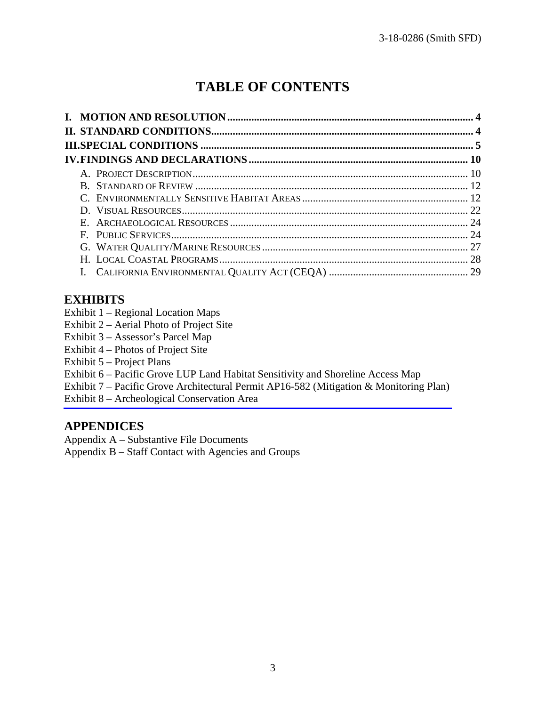# **TABLE OF CONTENTS**

### **EXHIBITS**

- Exhibit 1 Regional Location Maps
- Exhibit 2 Aerial Photo of Project Site
- Exhibit 3 Assessor's Parcel Map
- Exhibit 4 Photos of Project Site
- Exhibit 5 Project Plans
- Exhibit 6 Pacific Grove LUP Land Habitat Sensitivity and Shoreline Access Map
- [Exhibit 7 Pacific Grove Architectural Permit AP16-582 \(Mitigation & Monitoring Plan\)](https://documents.coastal.ca.gov/reports/2018/6/w23c/w23c-6-2018-exhibits.pdf)
- Exhibit 8 Archeological Conservation Area

### **APPENDICES**

Appendix A – Substantive File Documents

Appendix B – Staff Contact with Agencies and Groups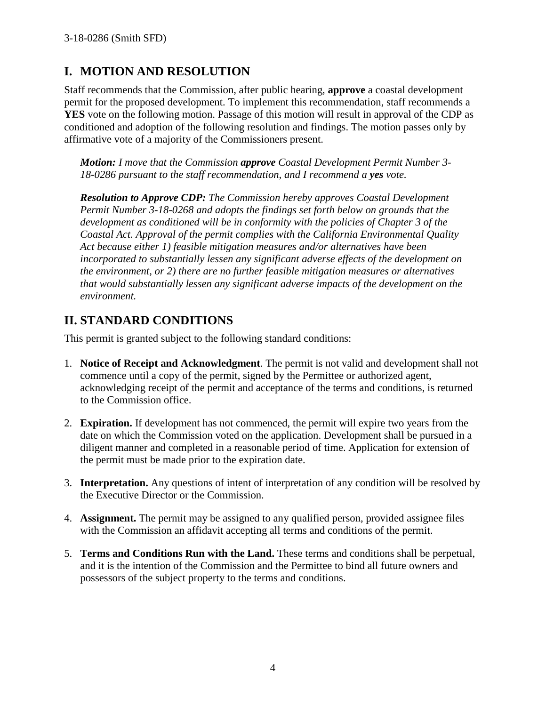# **I. MOTION AND RESOLUTION**

Staff recommends that the Commission, after public hearing, **approve** a coastal development permit for the proposed development. To implement this recommendation, staff recommends a **YES** vote on the following motion. Passage of this motion will result in approval of the CDP as conditioned and adoption of the following resolution and findings. The motion passes only by affirmative vote of a majority of the Commissioners present.

*Motion: I move that the Commission approve Coastal Development Permit Number 3- 18-0286 pursuant to the staff recommendation, and I recommend a yes vote.* 

*Resolution to Approve CDP: The Commission hereby approves Coastal Development Permit Number 3-18-0268 and adopts the findings set forth below on grounds that the development as conditioned will be in conformity with the policies of Chapter 3 of the Coastal Act. Approval of the permit complies with the California Environmental Quality Act because either 1) feasible mitigation measures and/or alternatives have been incorporated to substantially lessen any significant adverse effects of the development on the environment, or 2) there are no further feasible mitigation measures or alternatives that would substantially lessen any significant adverse impacts of the development on the environment.*

# **II. STANDARD CONDITIONS**

This permit is granted subject to the following standard conditions:

- 1. **Notice of Receipt and Acknowledgment**. The permit is not valid and development shall not commence until a copy of the permit, signed by the Permittee or authorized agent, acknowledging receipt of the permit and acceptance of the terms and conditions, is returned to the Commission office.
- 2. **Expiration.** If development has not commenced, the permit will expire two years from the date on which the Commission voted on the application. Development shall be pursued in a diligent manner and completed in a reasonable period of time. Application for extension of the permit must be made prior to the expiration date.
- 3. **Interpretation.** Any questions of intent of interpretation of any condition will be resolved by the Executive Director or the Commission.
- 4. **Assignment.** The permit may be assigned to any qualified person, provided assignee files with the Commission an affidavit accepting all terms and conditions of the permit.
- 5. **Terms and Conditions Run with the Land.** These terms and conditions shall be perpetual, and it is the intention of the Commission and the Permittee to bind all future owners and possessors of the subject property to the terms and conditions.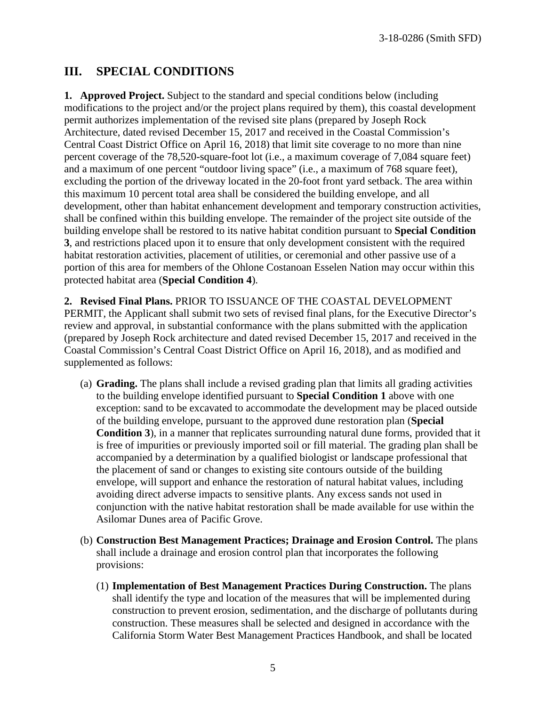3-18-0286 (Smith SFD)

### **III. SPECIAL CONDITIONS**

**1. Approved Project.** Subject to the standard and special conditions below (including modifications to the project and/or the project plans required by them), this coastal development permit authorizes implementation of the revised site plans (prepared by Joseph Rock Architecture, dated revised December 15, 2017 and received in the Coastal Commission's Central Coast District Office on April 16, 2018) that limit site coverage to no more than nine percent coverage of the 78,520-square-foot lot (i.e., a maximum coverage of 7,084 square feet) and a maximum of one percent "outdoor living space" (i.e., a maximum of 768 square feet), excluding the portion of the driveway located in the 20-foot front yard setback. The area within this maximum 10 percent total area shall be considered the building envelope, and all development, other than habitat enhancement development and temporary construction activities, shall be confined within this building envelope. The remainder of the project site outside of the building envelope shall be restored to its native habitat condition pursuant to **Special Condition 3**, and restrictions placed upon it to ensure that only development consistent with the required habitat restoration activities, placement of utilities, or ceremonial and other passive use of a portion of this area for members of the Ohlone Costanoan Esselen Nation may occur within this protected habitat area (**Special Condition 4**).

**2. Revised Final Plans.** PRIOR TO ISSUANCE OF THE COASTAL DEVELOPMENT PERMIT, the Applicant shall submit two sets of revised final plans, for the Executive Director's review and approval, in substantial conformance with the plans submitted with the application (prepared by Joseph Rock architecture and dated revised December 15, 2017 and received in the Coastal Commission's Central Coast District Office on April 16, 2018), and as modified and supplemented as follows:

- (a) **Grading.** The plans shall include a revised grading plan that limits all grading activities to the building envelope identified pursuant to **Special Condition 1** above with one exception: sand to be excavated to accommodate the development may be placed outside of the building envelope, pursuant to the approved dune restoration plan (**Special Condition 3**), in a manner that replicates surrounding natural dune forms, provided that it is free of impurities or previously imported soil or fill material. The grading plan shall be accompanied by a determination by a qualified biologist or landscape professional that the placement of sand or changes to existing site contours outside of the building envelope, will support and enhance the restoration of natural habitat values, including avoiding direct adverse impacts to sensitive plants. Any excess sands not used in conjunction with the native habitat restoration shall be made available for use within the Asilomar Dunes area of Pacific Grove.
- (b) **Construction Best Management Practices; Drainage and Erosion Control.** The plans shall include a drainage and erosion control plan that incorporates the following provisions:
	- (1) **Implementation of Best Management Practices During Construction.** The plans shall identify the type and location of the measures that will be implemented during construction to prevent erosion, sedimentation, and the discharge of pollutants during construction. These measures shall be selected and designed in accordance with the California Storm Water Best Management Practices Handbook, and shall be located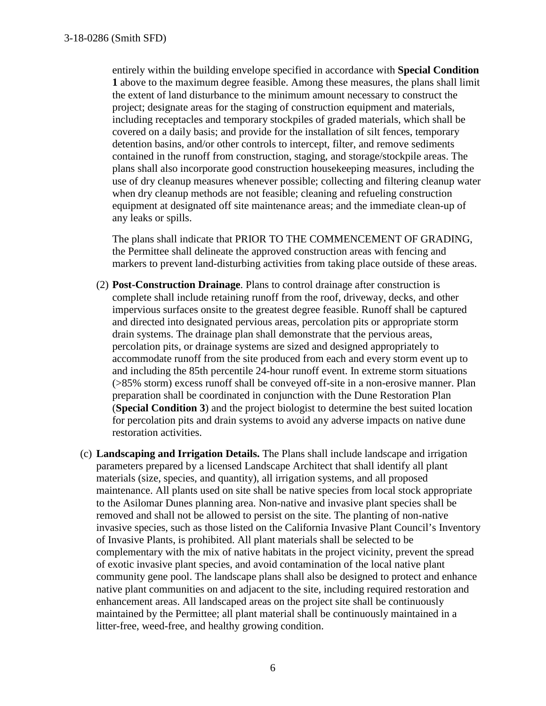entirely within the building envelope specified in accordance with **Special Condition 1** above to the maximum degree feasible. Among these measures, the plans shall limit the extent of land disturbance to the minimum amount necessary to construct the project; designate areas for the staging of construction equipment and materials, including receptacles and temporary stockpiles of graded materials, which shall be covered on a daily basis; and provide for the installation of silt fences, temporary detention basins, and/or other controls to intercept, filter, and remove sediments contained in the runoff from construction, staging, and storage/stockpile areas. The plans shall also incorporate good construction housekeeping measures, including the use of dry cleanup measures whenever possible; collecting and filtering cleanup water when dry cleanup methods are not feasible; cleaning and refueling construction equipment at designated off site maintenance areas; and the immediate clean-up of any leaks or spills.

The plans shall indicate that PRIOR TO THE COMMENCEMENT OF GRADING, the Permittee shall delineate the approved construction areas with fencing and markers to prevent land-disturbing activities from taking place outside of these areas.

- (2) **Post-Construction Drainage**. Plans to control drainage after construction is complete shall include retaining runoff from the roof, driveway, decks, and other impervious surfaces onsite to the greatest degree feasible. Runoff shall be captured and directed into designated pervious areas, percolation pits or appropriate storm drain systems. The drainage plan shall demonstrate that the pervious areas, percolation pits, or drainage systems are sized and designed appropriately to accommodate runoff from the site produced from each and every storm event up to and including the 85th percentile 24-hour runoff event. In extreme storm situations (>85% storm) excess runoff shall be conveyed off-site in a non-erosive manner. Plan preparation shall be coordinated in conjunction with the Dune Restoration Plan (**Special Condition 3**) and the project biologist to determine the best suited location for percolation pits and drain systems to avoid any adverse impacts on native dune restoration activities.
- (c) **Landscaping and Irrigation Details.** The Plans shall include landscape and irrigation parameters prepared by a licensed Landscape Architect that shall identify all plant materials (size, species, and quantity), all irrigation systems, and all proposed maintenance. All plants used on site shall be native species from local stock appropriate to the Asilomar Dunes planning area. Non-native and invasive plant species shall be removed and shall not be allowed to persist on the site. The planting of non-native invasive species, such as those listed on the California Invasive Plant Council's Inventory of Invasive Plants, is prohibited. All plant materials shall be selected to be complementary with the mix of native habitats in the project vicinity, prevent the spread of exotic invasive plant species, and avoid contamination of the local native plant community gene pool. The landscape plans shall also be designed to protect and enhance native plant communities on and adjacent to the site, including required restoration and enhancement areas. All landscaped areas on the project site shall be continuously maintained by the Permittee; all plant material shall be continuously maintained in a litter-free, weed-free, and healthy growing condition.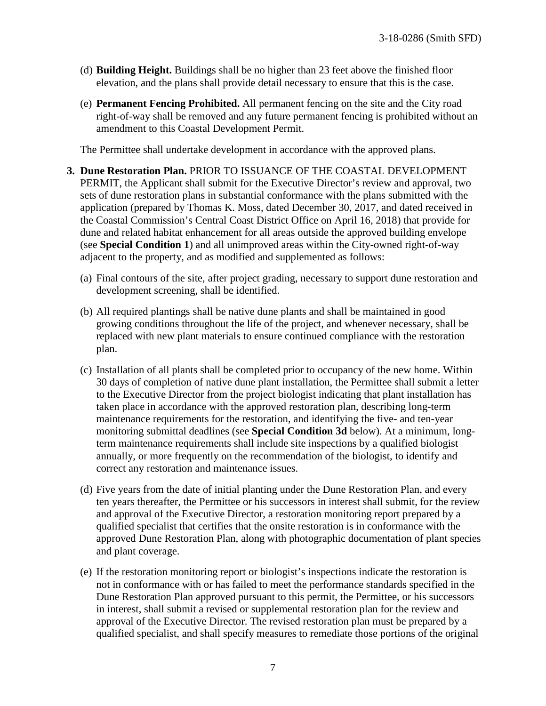- (d) **Building Height.** Buildings shall be no higher than 23 feet above the finished floor elevation, and the plans shall provide detail necessary to ensure that this is the case.
- (e) **Permanent Fencing Prohibited.** All permanent fencing on the site and the City road right-of-way shall be removed and any future permanent fencing is prohibited without an amendment to this Coastal Development Permit.

The Permittee shall undertake development in accordance with the approved plans.

- **3. Dune Restoration Plan.** PRIOR TO ISSUANCE OF THE COASTAL DEVELOPMENT PERMIT, the Applicant shall submit for the Executive Director's review and approval, two sets of dune restoration plans in substantial conformance with the plans submitted with the application (prepared by Thomas K. Moss, dated December 30, 2017, and dated received in the Coastal Commission's Central Coast District Office on April 16, 2018) that provide for dune and related habitat enhancement for all areas outside the approved building envelope (see **Special Condition 1**) and all unimproved areas within the City-owned right-of-way adjacent to the property, and as modified and supplemented as follows:
	- (a) Final contours of the site, after project grading, necessary to support dune restoration and development screening, shall be identified.
	- (b) All required plantings shall be native dune plants and shall be maintained in good growing conditions throughout the life of the project, and whenever necessary, shall be replaced with new plant materials to ensure continued compliance with the restoration plan.
	- (c) Installation of all plants shall be completed prior to occupancy of the new home. Within 30 days of completion of native dune plant installation, the Permittee shall submit a letter to the Executive Director from the project biologist indicating that plant installation has taken place in accordance with the approved restoration plan, describing long-term maintenance requirements for the restoration, and identifying the five- and ten-year monitoring submittal deadlines (see **Special Condition 3d** below). At a minimum, longterm maintenance requirements shall include site inspections by a qualified biologist annually, or more frequently on the recommendation of the biologist, to identify and correct any restoration and maintenance issues.
	- (d) Five years from the date of initial planting under the Dune Restoration Plan, and every ten years thereafter, the Permittee or his successors in interest shall submit, for the review and approval of the Executive Director, a restoration monitoring report prepared by a qualified specialist that certifies that the onsite restoration is in conformance with the approved Dune Restoration Plan, along with photographic documentation of plant species and plant coverage.
	- (e) If the restoration monitoring report or biologist's inspections indicate the restoration is not in conformance with or has failed to meet the performance standards specified in the Dune Restoration Plan approved pursuant to this permit, the Permittee, or his successors in interest, shall submit a revised or supplemental restoration plan for the review and approval of the Executive Director. The revised restoration plan must be prepared by a qualified specialist, and shall specify measures to remediate those portions of the original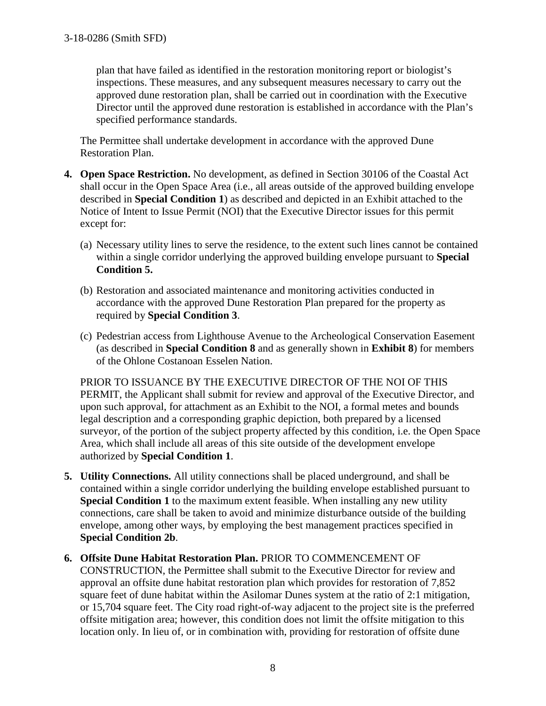plan that have failed as identified in the restoration monitoring report or biologist's inspections. These measures, and any subsequent measures necessary to carry out the approved dune restoration plan, shall be carried out in coordination with the Executive Director until the approved dune restoration is established in accordance with the Plan's specified performance standards.

The Permittee shall undertake development in accordance with the approved Dune Restoration Plan.

- **4. Open Space Restriction.** No development, as defined in Section 30106 of the Coastal Act shall occur in the Open Space Area (i.e., all areas outside of the approved building envelope described in **Special Condition 1**) as described and depicted in an Exhibit attached to the Notice of Intent to Issue Permit (NOI) that the Executive Director issues for this permit except for:
	- (a) Necessary utility lines to serve the residence, to the extent such lines cannot be contained within a single corridor underlying the approved building envelope pursuant to **Special Condition 5.**
	- (b) Restoration and associated maintenance and monitoring activities conducted in accordance with the approved Dune Restoration Plan prepared for the property as required by **Special Condition 3**.
	- (c) Pedestrian access from Lighthouse Avenue to the Archeological Conservation Easement (as described in **Special Condition 8** and as generally shown in **Exhibit 8**) for members of the Ohlone Costanoan Esselen Nation.

PRIOR TO ISSUANCE BY THE EXECUTIVE DIRECTOR OF THE NOI OF THIS PERMIT, the Applicant shall submit for review and approval of the Executive Director, and upon such approval, for attachment as an Exhibit to the NOI, a formal metes and bounds legal description and a corresponding graphic depiction, both prepared by a licensed surveyor, of the portion of the subject property affected by this condition, i.e. the Open Space Area, which shall include all areas of this site outside of the development envelope authorized by **Special Condition 1**.

- **5. Utility Connections.** All utility connections shall be placed underground, and shall be contained within a single corridor underlying the building envelope established pursuant to **Special Condition 1** to the maximum extent feasible. When installing any new utility connections, care shall be taken to avoid and minimize disturbance outside of the building envelope, among other ways, by employing the best management practices specified in **Special Condition 2b**.
- **6. Offsite Dune Habitat Restoration Plan.** PRIOR TO COMMENCEMENT OF CONSTRUCTION, the Permittee shall submit to the Executive Director for review and approval an offsite dune habitat restoration plan which provides for restoration of 7,852 square feet of dune habitat within the Asilomar Dunes system at the ratio of 2:1 mitigation, or 15,704 square feet. The City road right-of-way adjacent to the project site is the preferred offsite mitigation area; however, this condition does not limit the offsite mitigation to this location only. In lieu of, or in combination with, providing for restoration of offsite dune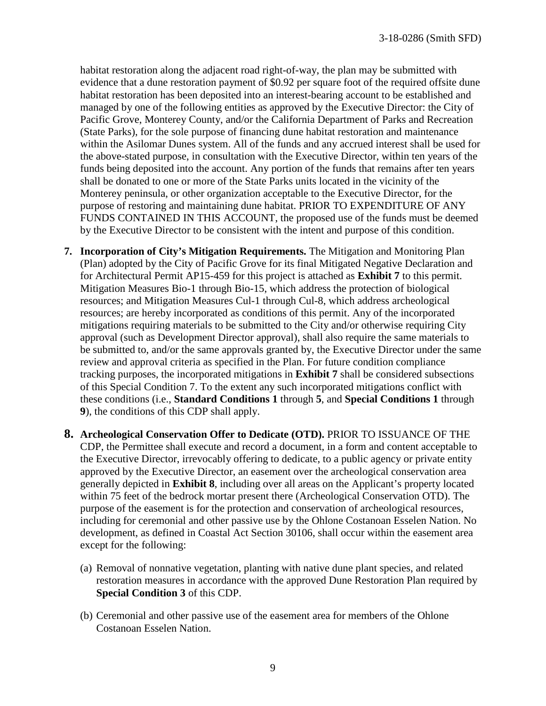habitat restoration along the adjacent road right-of-way, the plan may be submitted with evidence that a dune restoration payment of \$0.92 per square foot of the required offsite dune habitat restoration has been deposited into an interest-bearing account to be established and managed by one of the following entities as approved by the Executive Director: the City of Pacific Grove, Monterey County, and/or the California Department of Parks and Recreation (State Parks), for the sole purpose of financing dune habitat restoration and maintenance within the Asilomar Dunes system. All of the funds and any accrued interest shall be used for the above-stated purpose, in consultation with the Executive Director, within ten years of the funds being deposited into the account. Any portion of the funds that remains after ten years shall be donated to one or more of the State Parks units located in the vicinity of the Monterey peninsula, or other organization acceptable to the Executive Director, for the purpose of restoring and maintaining dune habitat. PRIOR TO EXPENDITURE OF ANY FUNDS CONTAINED IN THIS ACCOUNT, the proposed use of the funds must be deemed by the Executive Director to be consistent with the intent and purpose of this condition.

- **7. Incorporation of City's Mitigation Requirements.** The Mitigation and Monitoring Plan (Plan) adopted by the City of Pacific Grove for its final Mitigated Negative Declaration and for Architectural Permit AP15-459 for this project is attached as **Exhibit 7** to this permit. Mitigation Measures Bio-1 through Bio-15, which address the protection of biological resources; and Mitigation Measures Cul-1 through Cul-8, which address archeological resources; are hereby incorporated as conditions of this permit. Any of the incorporated mitigations requiring materials to be submitted to the City and/or otherwise requiring City approval (such as Development Director approval), shall also require the same materials to be submitted to, and/or the same approvals granted by, the Executive Director under the same review and approval criteria as specified in the Plan. For future condition compliance tracking purposes, the incorporated mitigations in **Exhibit 7** shall be considered subsections of this Special Condition 7. To the extent any such incorporated mitigations conflict with these conditions (i.e., **Standard Conditions 1** through **5**, and **Special Conditions 1** through **9**), the conditions of this CDP shall apply.
- **8. Archeological Conservation Offer to Dedicate (OTD).** PRIOR TO ISSUANCE OF THE CDP, the Permittee shall execute and record a document, in a form and content acceptable to the Executive Director, irrevocably offering to dedicate, to a public agency or private entity approved by the Executive Director, an easement over the archeological conservation area generally depicted in **Exhibit 8**, including over all areas on the Applicant's property located within 75 feet of the bedrock mortar present there (Archeological Conservation OTD). The purpose of the easement is for the protection and conservation of archeological resources, including for ceremonial and other passive use by the Ohlone Costanoan Esselen Nation. No development, as defined in Coastal Act Section 30106, shall occur within the easement area except for the following:
	- (a) Removal of nonnative vegetation, planting with native dune plant species, and related restoration measures in accordance with the approved Dune Restoration Plan required by **Special Condition 3** of this CDP.
	- (b) Ceremonial and other passive use of the easement area for members of the Ohlone Costanoan Esselen Nation.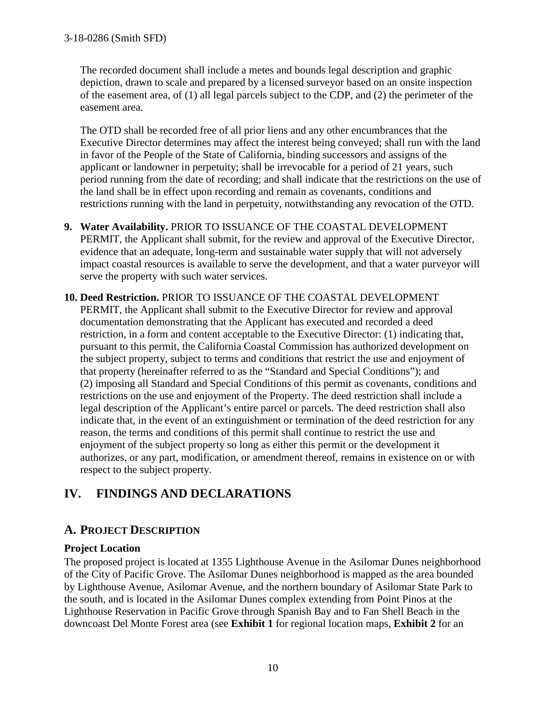The recorded document shall include a metes and bounds legal description and graphic depiction, drawn to scale and prepared by a licensed surveyor based on an onsite inspection of the easement area, of (1) all legal parcels subject to the CDP, and (2) the perimeter of the easement area.

The OTD shall be recorded free of all prior liens and any other encumbrances that the Executive Director determines may affect the interest being conveyed; shall run with the land in favor of the People of the State of California, binding successors and assigns of the applicant or landowner in perpetuity; shall be irrevocable for a period of 21 years, such period running from the date of recording; and shall indicate that the restrictions on the use of the land shall be in effect upon recording and remain as covenants, conditions and restrictions running with the land in perpetuity, notwithstanding any revocation of the OTD.

- **9. Water Availability.** PRIOR TO ISSUANCE OF THE COASTAL DEVELOPMENT PERMIT, the Applicant shall submit, for the review and approval of the Executive Director, evidence that an adequate, long-term and sustainable water supply that will not adversely impact coastal resources is available to serve the development, and that a water purveyor will serve the property with such water services.
- **10. Deed Restriction.** PRIOR TO ISSUANCE OF THE COASTAL DEVELOPMENT PERMIT, the Applicant shall submit to the Executive Director for review and approval documentation demonstrating that the Applicant has executed and recorded a deed restriction, in a form and content acceptable to the Executive Director: (1) indicating that, pursuant to this permit, the California Coastal Commission has authorized development on the subject property, subject to terms and conditions that restrict the use and enjoyment of that property (hereinafter referred to as the "Standard and Special Conditions"); and (2) imposing all Standard and Special Conditions of this permit as covenants, conditions and restrictions on the use and enjoyment of the Property. The deed restriction shall include a legal description of the Applicant's entire parcel or parcels. The deed restriction shall also indicate that, in the event of an extinguishment or termination of the deed restriction for any reason, the terms and conditions of this permit shall continue to restrict the use and enjoyment of the subject property so long as either this permit or the development it authorizes, or any part, modification, or amendment thereof, remains in existence on or with respect to the subject property.

# **IV. FINDINGS AND DECLARATIONS**

# **A. PROJECT DESCRIPTION**

#### **Project Location**

The proposed project is located at 1355 Lighthouse Avenue in the Asilomar Dunes neighborhood of the City of Pacific Grove. The Asilomar Dunes neighborhood is mapped as the area bounded by Lighthouse Avenue, Asilomar Avenue, and the northern boundary of Asilomar State Park to the south, and is located in the Asilomar Dunes complex extending from Point Pinos at the Lighthouse Reservation in Pacific Grove through Spanish Bay and to Fan Shell Beach in the downcoast Del Monte Forest area (see **Exhibit 1** for regional location maps, **Exhibit 2** for an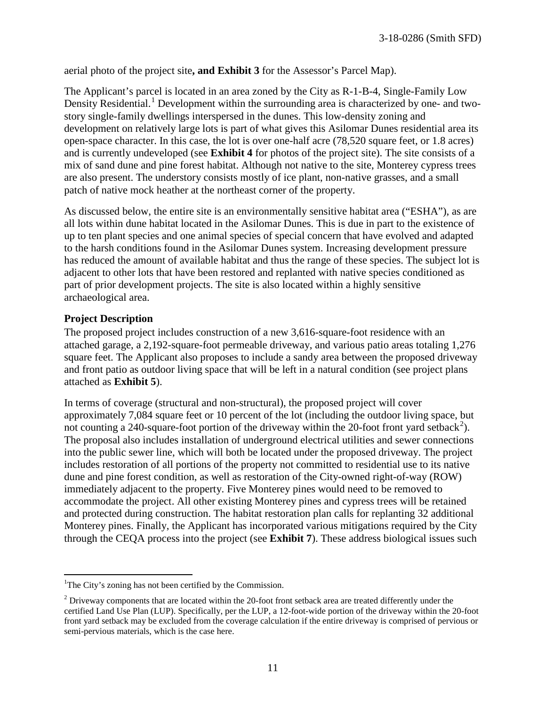aerial photo of the project site**, and Exhibit 3** for the Assessor's Parcel Map).

The Applicant's parcel is located in an area zoned by the City as R-1-B-4, Single-Family Low Density Residential.<sup>[1](#page-10-0)</sup> Development within the surrounding area is characterized by one- and twostory single-family dwellings interspersed in the dunes. This low-density zoning and development on relatively large lots is part of what gives this Asilomar Dunes residential area its open-space character. In this case, the lot is over one-half acre (78,520 square feet, or 1.8 acres) and is currently undeveloped (see **Exhibit 4** for photos of the project site). The site consists of a mix of sand dune and pine forest habitat. Although not native to the site, Monterey cypress trees are also present. The understory consists mostly of ice plant, non-native grasses, and a small patch of native mock heather at the northeast corner of the property.

As discussed below, the entire site is an environmentally sensitive habitat area ("ESHA"), as are all lots within dune habitat located in the Asilomar Dunes. This is due in part to the existence of up to ten plant species and one animal species of special concern that have evolved and adapted to the harsh conditions found in the Asilomar Dunes system. Increasing development pressure has reduced the amount of available habitat and thus the range of these species. The subject lot is adjacent to other lots that have been restored and replanted with native species conditioned as part of prior development projects. The site is also located within a highly sensitive archaeological area.

#### **Project Description**

The proposed project includes construction of a new 3,616-square-foot residence with an attached garage, a 2,192-square-foot permeable driveway, and various patio areas totaling 1,276 square feet. The Applicant also proposes to include a sandy area between the proposed driveway and front patio as outdoor living space that will be left in a natural condition (see project plans attached as **Exhibit 5**).

In terms of coverage (structural and non-structural), the proposed project will cover approximately 7,084 square feet or 10 percent of the lot (including the outdoor living space, but not counting a [2](#page-10-1)40-square-foot portion of the driveway within the 20-foot front yard setback<sup>2</sup>). The proposal also includes installation of underground electrical utilities and sewer connections into the public sewer line, which will both be located under the proposed driveway. The project includes restoration of all portions of the property not committed to residential use to its native dune and pine forest condition, as well as restoration of the City-owned right-of-way (ROW) immediately adjacent to the property. Five Monterey pines would need to be removed to accommodate the project. All other existing Monterey pines and cypress trees will be retained and protected during construction. The habitat restoration plan calls for replanting 32 additional Monterey pines. Finally, the Applicant has incorporated various mitigations required by the City through the CEQA process into the project (see **Exhibit 7**). These address biological issues such

<span id="page-10-0"></span><sup>&</sup>lt;sup>1</sup>The City's zoning has not been certified by the Commission.

<span id="page-10-1"></span><sup>&</sup>lt;sup>2</sup> Driveway components that are located within the 20-foot front setback area are treated differently under the certified Land Use Plan (LUP). Specifically, per the LUP, a 12-foot-wide portion of the driveway within the 20-foot front yard setback may be excluded from the coverage calculation if the entire driveway is comprised of pervious or semi-pervious materials, which is the case here.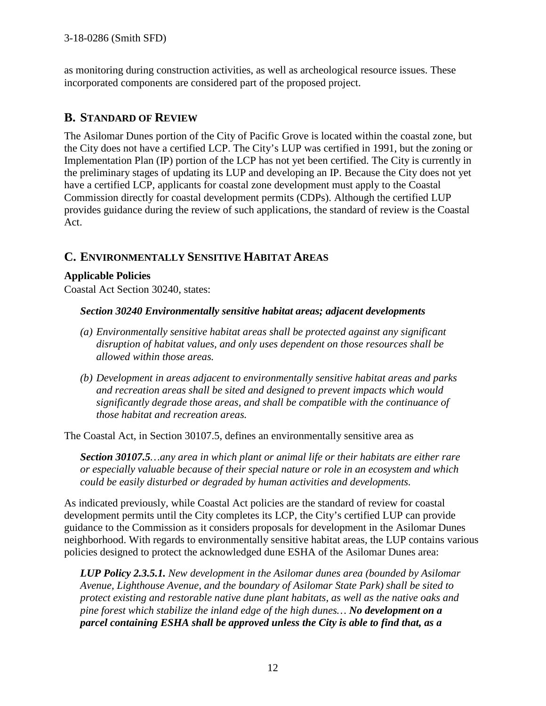as monitoring during construction activities, as well as archeological resource issues. These incorporated components are considered part of the proposed project.

# **B. STANDARD OF REVIEW**

The Asilomar Dunes portion of the City of Pacific Grove is located within the coastal zone, but the City does not have a certified LCP. The City's LUP was certified in 1991, but the zoning or Implementation Plan (IP) portion of the LCP has not yet been certified. The City is currently in the preliminary stages of updating its LUP and developing an IP. Because the City does not yet have a certified LCP, applicants for coastal zone development must apply to the Coastal Commission directly for coastal development permits (CDPs). Although the certified LUP provides guidance during the review of such applications, the standard of review is the Coastal Act.

## **C. ENVIRONMENTALLY SENSITIVE HABITAT AREAS**

#### **Applicable Policies**

Coastal Act Section 30240, states:

#### *Section 30240 Environmentally sensitive habitat areas; adjacent developments*

- *(a) Environmentally sensitive habitat areas shall be protected against any significant disruption of habitat values, and only uses dependent on those resources shall be allowed within those areas.*
- *(b) Development in areas adjacent to environmentally sensitive habitat areas and parks and recreation areas shall be sited and designed to prevent impacts which would significantly degrade those areas, and shall be compatible with the continuance of those habitat and recreation areas.*

The Coastal Act, in Section 30107.5, defines an environmentally sensitive area as

*Section 30107.5…any area in which plant or animal life or their habitats are either rare or especially valuable because of their special nature or role in an ecosystem and which could be easily disturbed or degraded by human activities and developments.* 

As indicated previously, while Coastal Act policies are the standard of review for coastal development permits until the City completes its LCP, the City's certified LUP can provide guidance to the Commission as it considers proposals for development in the Asilomar Dunes neighborhood. With regards to environmentally sensitive habitat areas, the LUP contains various policies designed to protect the acknowledged dune ESHA of the Asilomar Dunes area:

*LUP Policy 2.3.5.1. New development in the Asilomar dunes area (bounded by Asilomar Avenue, Lighthouse Avenue, and the boundary of Asilomar State Park) shall be sited to protect existing and restorable native dune plant habitats, as well as the native oaks and pine forest which stabilize the inland edge of the high dunes… No development on a parcel containing ESHA shall be approved unless the City is able to find that, as a*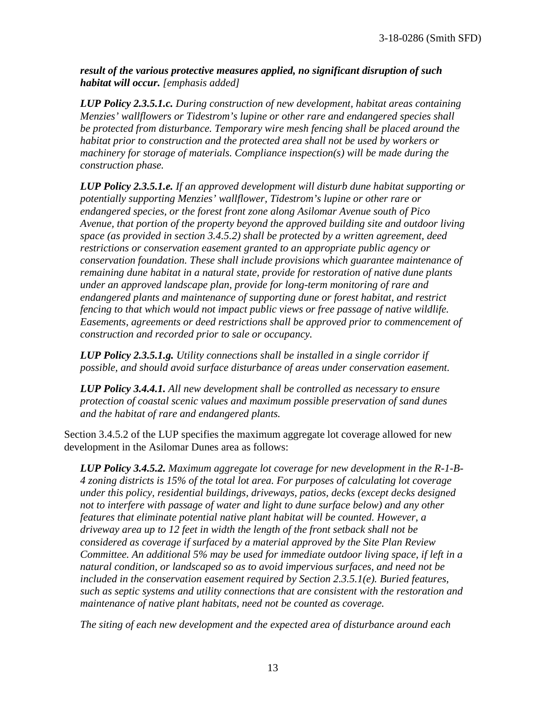*result of the various protective measures applied, no significant disruption of such habitat will occur. [emphasis added]* 

*LUP Policy 2.3.5.1.c. During construction of new development, habitat areas containing Menzies' wallflowers or Tidestrom's lupine or other rare and endangered species shall be protected from disturbance. Temporary wire mesh fencing shall be placed around the habitat prior to construction and the protected area shall not be used by workers or machinery for storage of materials. Compliance inspection(s) will be made during the construction phase.*

*LUP Policy 2.3.5.1.e. If an approved development will disturb dune habitat supporting or potentially supporting Menzies' wallflower, Tidestrom's lupine or other rare or endangered species, or the forest front zone along Asilomar Avenue south of Pico Avenue, that portion of the property beyond the approved building site and outdoor living space (as provided in section 3.4.5.2) shall be protected by a written agreement, deed restrictions or conservation easement granted to an appropriate public agency or conservation foundation. These shall include provisions which guarantee maintenance of remaining dune habitat in a natural state, provide for restoration of native dune plants under an approved landscape plan, provide for long-term monitoring of rare and endangered plants and maintenance of supporting dune or forest habitat, and restrict fencing to that which would not impact public views or free passage of native wildlife. Easements, agreements or deed restrictions shall be approved prior to commencement of construction and recorded prior to sale or occupancy.* 

*LUP Policy 2.3.5.1.g. Utility connections shall be installed in a single corridor if possible, and should avoid surface disturbance of areas under conservation easement.* 

*LUP Policy 3.4.4.1. All new development shall be controlled as necessary to ensure protection of coastal scenic values and maximum possible preservation of sand dunes and the habitat of rare and endangered plants.* 

Section 3.4.5.2 of the LUP specifies the maximum aggregate lot coverage allowed for new development in the Asilomar Dunes area as follows:

*LUP Policy 3.4.5.2. Maximum aggregate lot coverage for new development in the R-1-B-4 zoning districts is 15% of the total lot area. For purposes of calculating lot coverage under this policy, residential buildings, driveways, patios, decks (except decks designed not to interfere with passage of water and light to dune surface below) and any other features that eliminate potential native plant habitat will be counted. However, a driveway area up to 12 feet in width the length of the front setback shall not be considered as coverage if surfaced by a material approved by the Site Plan Review Committee. An additional 5% may be used for immediate outdoor living space, if left in a natural condition, or landscaped so as to avoid impervious surfaces, and need not be included in the conservation easement required by Section 2.3.5.1(e). Buried features, such as septic systems and utility connections that are consistent with the restoration and maintenance of native plant habitats, need not be counted as coverage.* 

*The siting of each new development and the expected area of disturbance around each*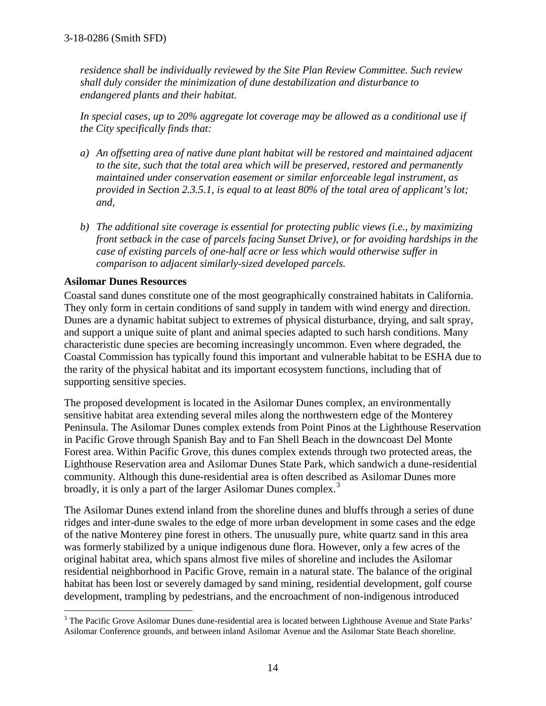*residence shall be individually reviewed by the Site Plan Review Committee. Such review shall duly consider the minimization of dune destabilization and disturbance to endangered plants and their habitat.* 

*In special cases, up to 20% aggregate lot coverage may be allowed as a conditional use if the City specifically finds that:*

- *a) An offsetting area of native dune plant habitat will be restored and maintained adjacent to the site, such that the total area which will be preserved, restored and permanently maintained under conservation easement or similar enforceable legal instrument, as provided in Section 2.3.5.1, is equal to at least 80% of the total area of applicant's lot; and,*
- *b) The additional site coverage is essential for protecting public views (i.e., by maximizing front setback in the case of parcels facing Sunset Drive), or for avoiding hardships in the case of existing parcels of one-half acre or less which would otherwise suffer in comparison to adjacent similarly-sized developed parcels.*

#### **Asilomar Dunes Resources**

Coastal sand dunes constitute one of the most geographically constrained habitats in California. They only form in certain conditions of sand supply in tandem with wind energy and direction. Dunes are a dynamic habitat subject to extremes of physical disturbance, drying, and salt spray, and support a unique suite of plant and animal species adapted to such harsh conditions. Many characteristic dune species are becoming increasingly uncommon. Even where degraded, the Coastal Commission has typically found this important and vulnerable habitat to be ESHA due to the rarity of the physical habitat and its important ecosystem functions, including that of supporting sensitive species.

The proposed development is located in the Asilomar Dunes complex, an environmentally sensitive habitat area extending several miles along the northwestern edge of the Monterey Peninsula. The Asilomar Dunes complex extends from Point Pinos at the Lighthouse Reservation in Pacific Grove through Spanish Bay and to Fan Shell Beach in the downcoast Del Monte Forest area. Within Pacific Grove, this dunes complex extends through two protected areas, the Lighthouse Reservation area and Asilomar Dunes State Park, which sandwich a dune-residential community. Although this dune-residential area is often described as Asilomar Dunes more broadly, it is only a part of the larger Asilomar Dunes complex.<sup>[3](#page-13-0)</sup>

The Asilomar Dunes extend inland from the shoreline dunes and bluffs through a series of dune ridges and inter-dune swales to the edge of more urban development in some cases and the edge of the native Monterey pine forest in others. The unusually pure, white quartz sand in this area was formerly stabilized by a unique indigenous dune flora. However, only a few acres of the original habitat area, which spans almost five miles of shoreline and includes the Asilomar residential neighborhood in Pacific Grove, remain in a natural state. The balance of the original habitat has been lost or severely damaged by sand mining, residential development, golf course development, trampling by pedestrians, and the encroachment of non-indigenous introduced

<span id="page-13-0"></span> $\overline{a}$ <sup>3</sup> The Pacific Grove Asilomar Dunes dune-residential area is located between Lighthouse Avenue and State Parks' Asilomar Conference grounds, and between inland Asilomar Avenue and the Asilomar State Beach shoreline.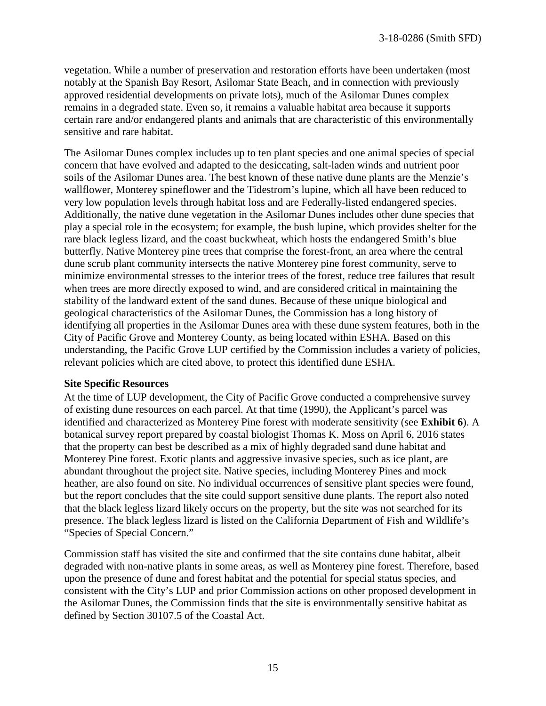vegetation. While a number of preservation and restoration efforts have been undertaken (most notably at the Spanish Bay Resort, Asilomar State Beach, and in connection with previously approved residential developments on private lots), much of the Asilomar Dunes complex remains in a degraded state. Even so, it remains a valuable habitat area because it supports certain rare and/or endangered plants and animals that are characteristic of this environmentally sensitive and rare habitat.

The Asilomar Dunes complex includes up to ten plant species and one animal species of special concern that have evolved and adapted to the desiccating, salt-laden winds and nutrient poor soils of the Asilomar Dunes area. The best known of these native dune plants are the Menzie's wallflower, Monterey spineflower and the Tidestrom's lupine, which all have been reduced to very low population levels through habitat loss and are Federally-listed endangered species. Additionally, the native dune vegetation in the Asilomar Dunes includes other dune species that play a special role in the ecosystem; for example, the bush lupine, which provides shelter for the rare black legless lizard, and the coast buckwheat, which hosts the endangered Smith's blue butterfly. Native Monterey pine trees that comprise the forest-front, an area where the central dune scrub plant community intersects the native Monterey pine forest community, serve to minimize environmental stresses to the interior trees of the forest, reduce tree failures that result when trees are more directly exposed to wind, and are considered critical in maintaining the stability of the landward extent of the sand dunes. Because of these unique biological and geological characteristics of the Asilomar Dunes, the Commission has a long history of identifying all properties in the Asilomar Dunes area with these dune system features, both in the City of Pacific Grove and Monterey County, as being located within ESHA. Based on this understanding, the Pacific Grove LUP certified by the Commission includes a variety of policies, relevant policies which are cited above, to protect this identified dune ESHA.

#### **Site Specific Resources**

At the time of LUP development, the City of Pacific Grove conducted a comprehensive survey of existing dune resources on each parcel. At that time (1990), the Applicant's parcel was identified and characterized as Monterey Pine forest with moderate sensitivity (see **Exhibit 6**). A botanical survey report prepared by coastal biologist Thomas K. Moss on April 6, 2016 states that the property can best be described as a mix of highly degraded sand dune habitat and Monterey Pine forest. Exotic plants and aggressive invasive species, such as ice plant, are abundant throughout the project site. Native species, including Monterey Pines and mock heather, are also found on site. No individual occurrences of sensitive plant species were found, but the report concludes that the site could support sensitive dune plants. The report also noted that the black legless lizard likely occurs on the property, but the site was not searched for its presence. The black legless lizard is listed on the California Department of Fish and Wildlife's "Species of Special Concern."

Commission staff has visited the site and confirmed that the site contains dune habitat, albeit degraded with non-native plants in some areas, as well as Monterey pine forest. Therefore, based upon the presence of dune and forest habitat and the potential for special status species, and consistent with the City's LUP and prior Commission actions on other proposed development in the Asilomar Dunes, the Commission finds that the site is environmentally sensitive habitat as defined by Section 30107.5 of the Coastal Act.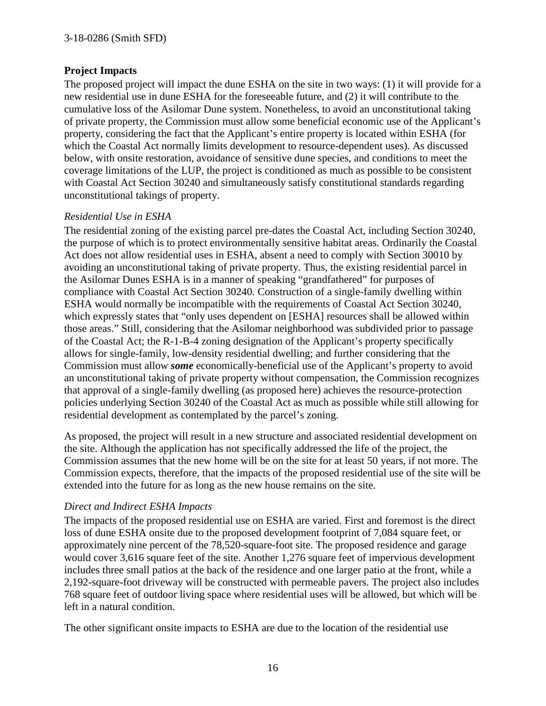#### **Project Impacts**

The proposed project will impact the dune ESHA on the site in two ways: (1) it will provide for a new residential use in dune ESHA for the foreseeable future, and (2) it will contribute to the cumulative loss of the Asilomar Dune system. Nonetheless, to avoid an unconstitutional taking of private property, the Commission must allow some beneficial economic use of the Applicant's property, considering the fact that the Applicant's entire property is located within ESHA (for which the Coastal Act normally limits development to resource-dependent uses). As discussed below, with onsite restoration, avoidance of sensitive dune species, and conditions to meet the coverage limitations of the LUP, the project is conditioned as much as possible to be consistent with Coastal Act Section 30240 and simultaneously satisfy constitutional standards regarding unconstitutional takings of property.

#### *Residential Use in ESHA*

The residential zoning of the existing parcel pre-dates the Coastal Act, including Section 30240, the purpose of which is to protect environmentally sensitive habitat areas. Ordinarily the Coastal Act does not allow residential uses in ESHA, absent a need to comply with Section 30010 by avoiding an unconstitutional taking of private property. Thus, the existing residential parcel in the Asilomar Dunes ESHA is in a manner of speaking "grandfathered" for purposes of compliance with Coastal Act Section 30240. Construction of a single-family dwelling within ESHA would normally be incompatible with the requirements of Coastal Act Section 30240, which expressly states that "only uses dependent on [ESHA] resources shall be allowed within those areas." Still, considering that the Asilomar neighborhood was subdivided prior to passage of the Coastal Act; the R-1-B-4 zoning designation of the Applicant's property specifically allows for single-family, low-density residential dwelling; and further considering that the Commission must allow *some* economically-beneficial use of the Applicant's property to avoid an unconstitutional taking of private property without compensation, the Commission recognizes that approval of a single-family dwelling (as proposed here) achieves the resource-protection policies underlying Section 30240 of the Coastal Act as much as possible while still allowing for residential development as contemplated by the parcel's zoning.

As proposed, the project will result in a new structure and associated residential development on the site. Although the application has not specifically addressed the life of the project, the Commission assumes that the new home will be on the site for at least 50 years, if not more. The Commission expects, therefore, that the impacts of the proposed residential use of the site will be extended into the future for as long as the new house remains on the site.

#### *Direct and Indirect ESHA Impacts*

The impacts of the proposed residential use on ESHA are varied. First and foremost is the direct loss of dune ESHA onsite due to the proposed development footprint of 7,084 square feet, or approximately nine percent of the 78,520-square-foot site. The proposed residence and garage would cover 3,616 square feet of the site. Another 1,276 square feet of impervious development includes three small patios at the back of the residence and one larger patio at the front, while a 2,192-square-foot driveway will be constructed with permeable pavers. The project also includes 768 square feet of outdoor living space where residential uses will be allowed, but which will be left in a natural condition.

The other significant onsite impacts to ESHA are due to the location of the residential use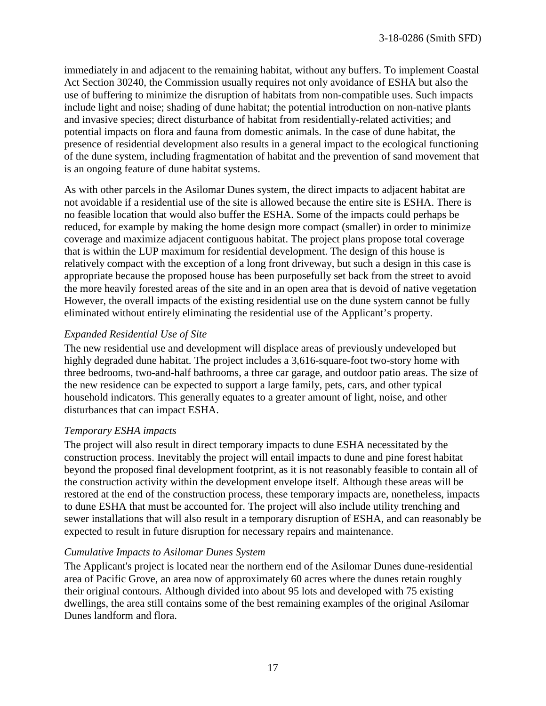immediately in and adjacent to the remaining habitat, without any buffers. To implement Coastal Act Section 30240, the Commission usually requires not only avoidance of ESHA but also the use of buffering to minimize the disruption of habitats from non-compatible uses. Such impacts include light and noise; shading of dune habitat; the potential introduction on non-native plants and invasive species; direct disturbance of habitat from residentially-related activities; and potential impacts on flora and fauna from domestic animals. In the case of dune habitat, the presence of residential development also results in a general impact to the ecological functioning of the dune system, including fragmentation of habitat and the prevention of sand movement that is an ongoing feature of dune habitat systems.

As with other parcels in the Asilomar Dunes system, the direct impacts to adjacent habitat are not avoidable if a residential use of the site is allowed because the entire site is ESHA. There is no feasible location that would also buffer the ESHA. Some of the impacts could perhaps be reduced, for example by making the home design more compact (smaller) in order to minimize coverage and maximize adjacent contiguous habitat. The project plans propose total coverage that is within the LUP maximum for residential development. The design of this house is relatively compact with the exception of a long front driveway, but such a design in this case is appropriate because the proposed house has been purposefully set back from the street to avoid the more heavily forested areas of the site and in an open area that is devoid of native vegetation However, the overall impacts of the existing residential use on the dune system cannot be fully eliminated without entirely eliminating the residential use of the Applicant's property.

#### *Expanded Residential Use of Site*

The new residential use and development will displace areas of previously undeveloped but highly degraded dune habitat. The project includes a 3,616-square-foot two-story home with three bedrooms, two-and-half bathrooms, a three car garage, and outdoor patio areas. The size of the new residence can be expected to support a large family, pets, cars, and other typical household indicators. This generally equates to a greater amount of light, noise, and other disturbances that can impact ESHA.

#### *Temporary ESHA impacts*

The project will also result in direct temporary impacts to dune ESHA necessitated by the construction process. Inevitably the project will entail impacts to dune and pine forest habitat beyond the proposed final development footprint, as it is not reasonably feasible to contain all of the construction activity within the development envelope itself. Although these areas will be restored at the end of the construction process, these temporary impacts are, nonetheless, impacts to dune ESHA that must be accounted for. The project will also include utility trenching and sewer installations that will also result in a temporary disruption of ESHA, and can reasonably be expected to result in future disruption for necessary repairs and maintenance.

#### *Cumulative Impacts to Asilomar Dunes System*

The Applicant's project is located near the northern end of the Asilomar Dunes dune-residential area of Pacific Grove, an area now of approximately 60 acres where the dunes retain roughly their original contours. Although divided into about 95 lots and developed with 75 existing dwellings, the area still contains some of the best remaining examples of the original Asilomar Dunes landform and flora.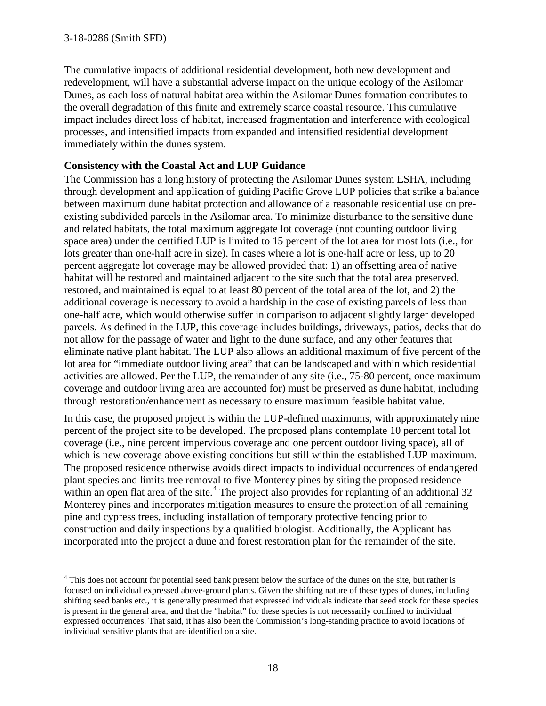$\overline{a}$ 

The cumulative impacts of additional residential development, both new development and redevelopment, will have a substantial adverse impact on the unique ecology of the Asilomar Dunes, as each loss of natural habitat area within the Asilomar Dunes formation contributes to the overall degradation of this finite and extremely scarce coastal resource. This cumulative impact includes direct loss of habitat, increased fragmentation and interference with ecological processes, and intensified impacts from expanded and intensified residential development immediately within the dunes system.

#### **Consistency with the Coastal Act and LUP Guidance**

The Commission has a long history of protecting the Asilomar Dunes system ESHA, including through development and application of guiding Pacific Grove LUP policies that strike a balance between maximum dune habitat protection and allowance of a reasonable residential use on preexisting subdivided parcels in the Asilomar area. To minimize disturbance to the sensitive dune and related habitats, the total maximum aggregate lot coverage (not counting outdoor living space area) under the certified LUP is limited to 15 percent of the lot area for most lots (i.e., for lots greater than one-half acre in size). In cases where a lot is one-half acre or less, up to 20 percent aggregate lot coverage may be allowed provided that: 1) an offsetting area of native habitat will be restored and maintained adjacent to the site such that the total area preserved, restored, and maintained is equal to at least 80 percent of the total area of the lot, and 2) the additional coverage is necessary to avoid a hardship in the case of existing parcels of less than one-half acre, which would otherwise suffer in comparison to adjacent slightly larger developed parcels. As defined in the LUP, this coverage includes buildings, driveways, patios, decks that do not allow for the passage of water and light to the dune surface, and any other features that eliminate native plant habitat. The LUP also allows an additional maximum of five percent of the lot area for "immediate outdoor living area" that can be landscaped and within which residential activities are allowed. Per the LUP, the remainder of any site (i.e., 75-80 percent, once maximum coverage and outdoor living area are accounted for) must be preserved as dune habitat, including through restoration/enhancement as necessary to ensure maximum feasible habitat value.

In this case, the proposed project is within the LUP-defined maximums, with approximately nine percent of the project site to be developed. The proposed plans contemplate 10 percent total lot coverage (i.e., nine percent impervious coverage and one percent outdoor living space), all of which is new coverage above existing conditions but still within the established LUP maximum. The proposed residence otherwise avoids direct impacts to individual occurrences of endangered plant species and limits tree removal to five Monterey pines by siting the proposed residence within an open flat area of the site.<sup>[4](#page-17-0)</sup> The project also provides for replanting of an additional 32 Monterey pines and incorporates mitigation measures to ensure the protection of all remaining pine and cypress trees, including installation of temporary protective fencing prior to construction and daily inspections by a qualified biologist. Additionally, the Applicant has incorporated into the project a dune and forest restoration plan for the remainder of the site.

<span id="page-17-0"></span><sup>&</sup>lt;sup>4</sup> This does not account for potential seed bank present below the surface of the dunes on the site, but rather is focused on individual expressed above-ground plants. Given the shifting nature of these types of dunes, including shifting seed banks etc., it is generally presumed that expressed individuals indicate that seed stock for these species is present in the general area, and that the "habitat" for these species is not necessarily confined to individual expressed occurrences. That said, it has also been the Commission's long-standing practice to avoid locations of individual sensitive plants that are identified on a site.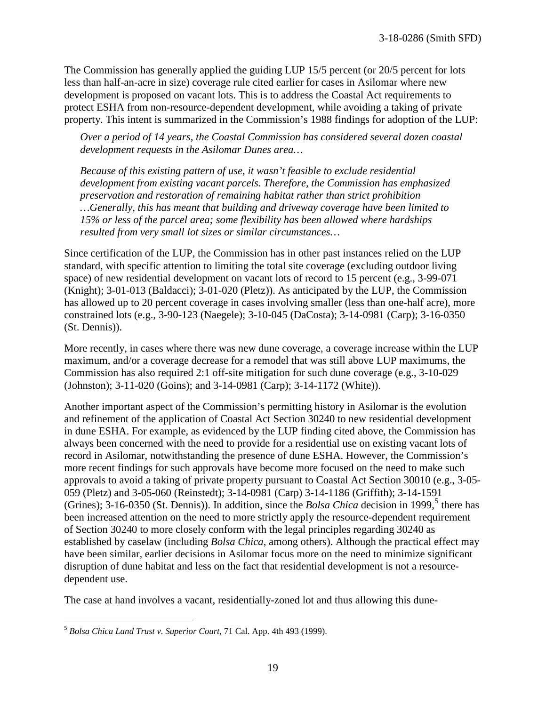The Commission has generally applied the guiding LUP 15/5 percent (or 20/5 percent for lots less than half-an-acre in size) coverage rule cited earlier for cases in Asilomar where new development is proposed on vacant lots. This is to address the Coastal Act requirements to protect ESHA from non-resource-dependent development, while avoiding a taking of private property. This intent is summarized in the Commission's 1988 findings for adoption of the LUP:

*Over a period of 14 years, the Coastal Commission has considered several dozen coastal development requests in the Asilomar Dunes area…* 

*Because of this existing pattern of use, it wasn't feasible to exclude residential development from existing vacant parcels. Therefore, the Commission has emphasized preservation and restoration of remaining habitat rather than strict prohibition …Generally, this has meant that building and driveway coverage have been limited to 15% or less of the parcel area; some flexibility has been allowed where hardships resulted from very small lot sizes or similar circumstances…*

Since certification of the LUP, the Commission has in other past instances relied on the LUP standard, with specific attention to limiting the total site coverage (excluding outdoor living space) of new residential development on vacant lots of record to 15 percent (e.g., 3-99-071 (Knight); 3-01-013 (Baldacci); 3-01-020 (Pletz)). As anticipated by the LUP, the Commission has allowed up to 20 percent coverage in cases involving smaller (less than one-half acre), more constrained lots (e.g., 3-90-123 (Naegele); 3-10-045 (DaCosta); 3-14-0981 (Carp); 3-16-0350 (St. Dennis)).

More recently, in cases where there was new dune coverage, a coverage increase within the LUP maximum, and/or a coverage decrease for a remodel that was still above LUP maximums, the Commission has also required 2:1 off-site mitigation for such dune coverage (e.g., 3-10-029 (Johnston); 3-11-020 (Goins); and 3-14-0981 (Carp); 3-14-1172 (White)).

Another important aspect of the Commission's permitting history in Asilomar is the evolution and refinement of the application of Coastal Act Section 30240 to new residential development in dune ESHA. For example, as evidenced by the LUP finding cited above, the Commission has always been concerned with the need to provide for a residential use on existing vacant lots of record in Asilomar, notwithstanding the presence of dune ESHA. However, the Commission's more recent findings for such approvals have become more focused on the need to make such approvals to avoid a taking of private property pursuant to Coastal Act Section 30010 (e.g., 3-05- 059 (Pletz) and 3-05-060 (Reinstedt); 3-14-0981 (Carp) 3-14-1186 (Griffith); 3-14-1591 (Grines);  $3-16-0350$  $3-16-0350$  $3-16-0350$  (St. Dennis)). In addition, since the *Bolsa Chica* decision in 1999,<sup>5</sup> there has been increased attention on the need to more strictly apply the resource-dependent requirement of Section 30240 to more closely conform with the legal principles regarding 30240 as established by caselaw (including *Bolsa Chica*, among others). Although the practical effect may have been similar, earlier decisions in Asilomar focus more on the need to minimize significant disruption of dune habitat and less on the fact that residential development is not a resourcedependent use.

The case at hand involves a vacant, residentially-zoned lot and thus allowing this dune-

<span id="page-18-0"></span> $\overline{a}$ <sup>5</sup> *Bolsa Chica Land Trust v. Superior Court*, 71 Cal. App. 4th 493 (1999).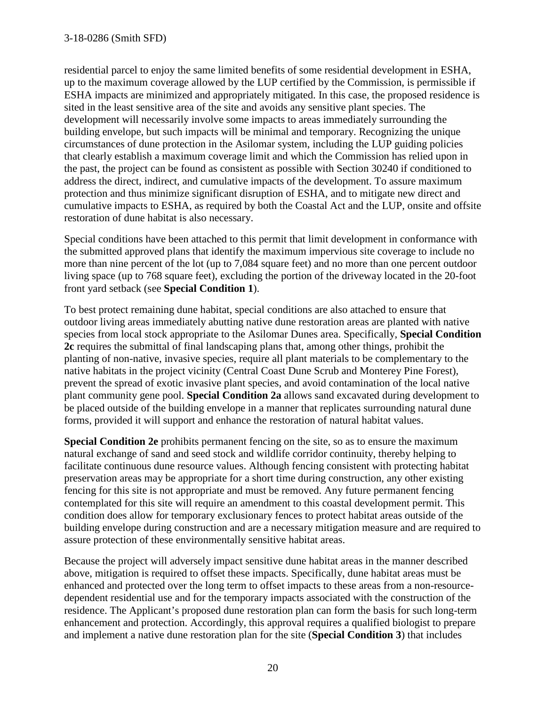residential parcel to enjoy the same limited benefits of some residential development in ESHA, up to the maximum coverage allowed by the LUP certified by the Commission, is permissible if ESHA impacts are minimized and appropriately mitigated. In this case, the proposed residence is sited in the least sensitive area of the site and avoids any sensitive plant species. The development will necessarily involve some impacts to areas immediately surrounding the building envelope, but such impacts will be minimal and temporary. Recognizing the unique circumstances of dune protection in the Asilomar system, including the LUP guiding policies that clearly establish a maximum coverage limit and which the Commission has relied upon in the past, the project can be found as consistent as possible with Section 30240 if conditioned to address the direct, indirect, and cumulative impacts of the development. To assure maximum protection and thus minimize significant disruption of ESHA, and to mitigate new direct and cumulative impacts to ESHA, as required by both the Coastal Act and the LUP, onsite and offsite restoration of dune habitat is also necessary.

Special conditions have been attached to this permit that limit development in conformance with the submitted approved plans that identify the maximum impervious site coverage to include no more than nine percent of the lot (up to 7,084 square feet) and no more than one percent outdoor living space (up to 768 square feet), excluding the portion of the driveway located in the 20-foot front yard setback (see **Special Condition 1**).

To best protect remaining dune habitat, special conditions are also attached to ensure that outdoor living areas immediately abutting native dune restoration areas are planted with native species from local stock appropriate to the Asilomar Dunes area. Specifically, **Special Condition 2c** requires the submittal of final landscaping plans that, among other things, prohibit the planting of non-native, invasive species, require all plant materials to be complementary to the native habitats in the project vicinity (Central Coast Dune Scrub and Monterey Pine Forest), prevent the spread of exotic invasive plant species, and avoid contamination of the local native plant community gene pool. **Special Condition 2a** allows sand excavated during development to be placed outside of the building envelope in a manner that replicates surrounding natural dune forms, provided it will support and enhance the restoration of natural habitat values.

**Special Condition 2e** prohibits permanent fencing on the site, so as to ensure the maximum natural exchange of sand and seed stock and wildlife corridor continuity, thereby helping to facilitate continuous dune resource values. Although fencing consistent with protecting habitat preservation areas may be appropriate for a short time during construction, any other existing fencing for this site is not appropriate and must be removed. Any future permanent fencing contemplated for this site will require an amendment to this coastal development permit. This condition does allow for temporary exclusionary fences to protect habitat areas outside of the building envelope during construction and are a necessary mitigation measure and are required to assure protection of these environmentally sensitive habitat areas.

Because the project will adversely impact sensitive dune habitat areas in the manner described above, mitigation is required to offset these impacts. Specifically, dune habitat areas must be enhanced and protected over the long term to offset impacts to these areas from a non-resourcedependent residential use and for the temporary impacts associated with the construction of the residence. The Applicant's proposed dune restoration plan can form the basis for such long-term enhancement and protection. Accordingly, this approval requires a qualified biologist to prepare and implement a native dune restoration plan for the site (**Special Condition 3**) that includes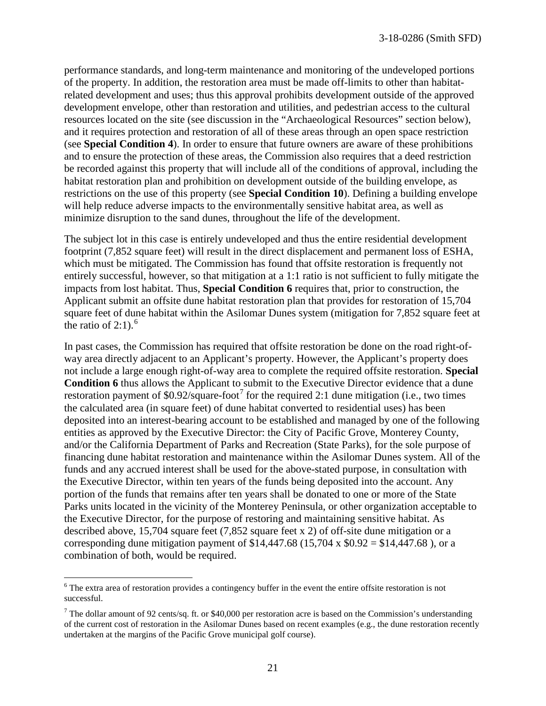performance standards, and long-term maintenance and monitoring of the undeveloped portions of the property. In addition, the restoration area must be made off-limits to other than habitatrelated development and uses; thus this approval prohibits development outside of the approved development envelope, other than restoration and utilities, and pedestrian access to the cultural resources located on the site (see discussion in the "Archaeological Resources" section below), and it requires protection and restoration of all of these areas through an open space restriction (see **Special Condition 4**). In order to ensure that future owners are aware of these prohibitions and to ensure the protection of these areas, the Commission also requires that a deed restriction be recorded against this property that will include all of the conditions of approval, including the habitat restoration plan and prohibition on development outside of the building envelope, as restrictions on the use of this property (see **Special Condition 10**). Defining a building envelope will help reduce adverse impacts to the environmentally sensitive habitat area, as well as minimize disruption to the sand dunes, throughout the life of the development.

The subject lot in this case is entirely undeveloped and thus the entire residential development footprint (7,852 square feet) will result in the direct displacement and permanent loss of ESHA, which must be mitigated. The Commission has found that offsite restoration is frequently not entirely successful, however, so that mitigation at a 1:1 ratio is not sufficient to fully mitigate the impacts from lost habitat. Thus, **Special Condition 6** requires that, prior to construction, the Applicant submit an offsite dune habitat restoration plan that provides for restoration of 15,704 square feet of dune habitat within the Asilomar Dunes system (mitigation for 7,852 square feet at the ratio of  $2:1$ ).<sup>[6](#page-20-0)</sup>

In past cases, the Commission has required that offsite restoration be done on the road right-ofway area directly adjacent to an Applicant's property. However, the Applicant's property does not include a large enough right-of-way area to complete the required offsite restoration. **Special Condition 6** thus allows the Applicant to submit to the Executive Director evidence that a dune restoration payment of \$0.92/square-foot<sup>[7](#page-20-1)</sup> for the required 2:1 dune mitigation (i.e., two times the calculated area (in square feet) of dune habitat converted to residential uses) has been deposited into an interest-bearing account to be established and managed by one of the following entities as approved by the Executive Director: the City of Pacific Grove, Monterey County, and/or the California Department of Parks and Recreation (State Parks), for the sole purpose of financing dune habitat restoration and maintenance within the Asilomar Dunes system. All of the funds and any accrued interest shall be used for the above-stated purpose, in consultation with the Executive Director, within ten years of the funds being deposited into the account. Any portion of the funds that remains after ten years shall be donated to one or more of the State Parks units located in the vicinity of the Monterey Peninsula, or other organization acceptable to the Executive Director, for the purpose of restoring and maintaining sensitive habitat. As described above, 15,704 square feet (7,852 square feet x 2) of off-site dune mitigation or a corresponding dune mitigation payment of  $$14,447.68$  (15,704 x  $$0.92 = $14,447.68$ ), or a combination of both, would be required.

 $\overline{a}$ 

<span id="page-20-0"></span><sup>&</sup>lt;sup>6</sup> The extra area of restoration provides a contingency buffer in the event the entire offsite restoration is not successful.

<span id="page-20-1"></span> $7$  The dollar amount of 92 cents/sq. ft. or \$40,000 per restoration acre is based on the Commission's understanding of the current cost of restoration in the Asilomar Dunes based on recent examples (e.g., the dune restoration recently undertaken at the margins of the Pacific Grove municipal golf course).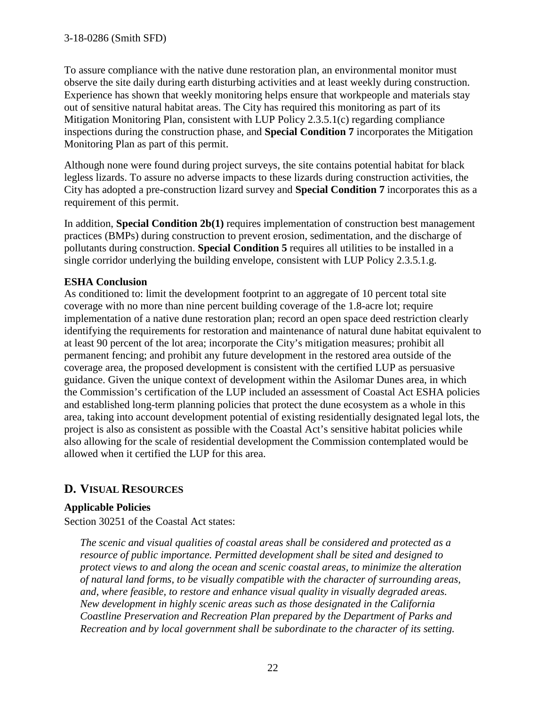To assure compliance with the native dune restoration plan, an environmental monitor must observe the site daily during earth disturbing activities and at least weekly during construction. Experience has shown that weekly monitoring helps ensure that workpeople and materials stay out of sensitive natural habitat areas. The City has required this monitoring as part of its Mitigation Monitoring Plan, consistent with LUP Policy 2.3.5.1(c) regarding compliance inspections during the construction phase, and **Special Condition 7** incorporates the Mitigation Monitoring Plan as part of this permit.

Although none were found during project surveys, the site contains potential habitat for black legless lizards. To assure no adverse impacts to these lizards during construction activities, the City has adopted a pre-construction lizard survey and **Special Condition 7** incorporates this as a requirement of this permit.

In addition, **Special Condition 2b(1)** requires implementation of construction best management practices (BMPs) during construction to prevent erosion, sedimentation, and the discharge of pollutants during construction. **Special Condition 5** requires all utilities to be installed in a single corridor underlying the building envelope, consistent with LUP Policy 2.3.5.1.g.

#### **ESHA Conclusion**

As conditioned to: limit the development footprint to an aggregate of 10 percent total site coverage with no more than nine percent building coverage of the 1.8-acre lot; require implementation of a native dune restoration plan; record an open space deed restriction clearly identifying the requirements for restoration and maintenance of natural dune habitat equivalent to at least 90 percent of the lot area; incorporate the City's mitigation measures; prohibit all permanent fencing; and prohibit any future development in the restored area outside of the coverage area, the proposed development is consistent with the certified LUP as persuasive guidance. Given the unique context of development within the Asilomar Dunes area, in which the Commission's certification of the LUP included an assessment of Coastal Act ESHA policies and established long-term planning policies that protect the dune ecosystem as a whole in this area, taking into account development potential of existing residentially designated legal lots, the project is also as consistent as possible with the Coastal Act's sensitive habitat policies while also allowing for the scale of residential development the Commission contemplated would be allowed when it certified the LUP for this area.

# **D. VISUAL RESOURCES**

### **Applicable Policies**

Section 30251 of the Coastal Act states:

*The scenic and visual qualities of coastal areas shall be considered and protected as a resource of public importance. Permitted development shall be sited and designed to protect views to and along the ocean and scenic coastal areas, to minimize the alteration of natural land forms, to be visually compatible with the character of surrounding areas, and, where feasible, to restore and enhance visual quality in visually degraded areas. New development in highly scenic areas such as those designated in the California Coastline Preservation and Recreation Plan prepared by the Department of Parks and Recreation and by local government shall be subordinate to the character of its setting.*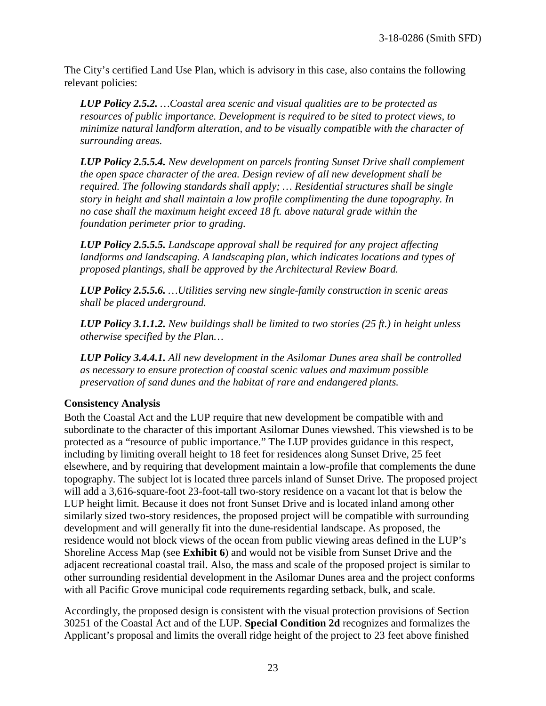The City's certified Land Use Plan, which is advisory in this case, also contains the following relevant policies:

*LUP Policy 2.5.2. …Coastal area scenic and visual qualities are to be protected as resources of public importance. Development is required to be sited to protect views, to minimize natural landform alteration, and to be visually compatible with the character of surrounding areas.* 

*LUP Policy 2.5.5.4. New development on parcels fronting Sunset Drive shall complement the open space character of the area. Design review of all new development shall be required. The following standards shall apply; … Residential structures shall be single story in height and shall maintain a low profile complimenting the dune topography. In no case shall the maximum height exceed 18 ft. above natural grade within the foundation perimeter prior to grading.* 

*LUP Policy 2.5.5.5. Landscape approval shall be required for any project affecting landforms and landscaping. A landscaping plan, which indicates locations and types of proposed plantings, shall be approved by the Architectural Review Board.* 

*LUP Policy 2.5.5.6. …Utilities serving new single-family construction in scenic areas shall be placed underground.* 

*LUP Policy 3.1.1.2. New buildings shall be limited to two stories (25 ft.) in height unless otherwise specified by the Plan…*

*LUP Policy 3.4.4.1. All new development in the Asilomar Dunes area shall be controlled as necessary to ensure protection of coastal scenic values and maximum possible preservation of sand dunes and the habitat of rare and endangered plants.* 

#### **Consistency Analysis**

Both the Coastal Act and the LUP require that new development be compatible with and subordinate to the character of this important Asilomar Dunes viewshed. This viewshed is to be protected as a "resource of public importance." The LUP provides guidance in this respect, including by limiting overall height to 18 feet for residences along Sunset Drive, 25 feet elsewhere, and by requiring that development maintain a low-profile that complements the dune topography. The subject lot is located three parcels inland of Sunset Drive. The proposed project will add a 3,616-square-foot 23-foot-tall two-story residence on a vacant lot that is below the LUP height limit. Because it does not front Sunset Drive and is located inland among other similarly sized two-story residences, the proposed project will be compatible with surrounding development and will generally fit into the dune-residential landscape. As proposed, the residence would not block views of the ocean from public viewing areas defined in the LUP's Shoreline Access Map (see **Exhibit 6**) and would not be visible from Sunset Drive and the adjacent recreational coastal trail. Also, the mass and scale of the proposed project is similar to other surrounding residential development in the Asilomar Dunes area and the project conforms with all Pacific Grove municipal code requirements regarding setback, bulk, and scale.

Accordingly, the proposed design is consistent with the visual protection provisions of Section 30251 of the Coastal Act and of the LUP. **Special Condition 2d** recognizes and formalizes the Applicant's proposal and limits the overall ridge height of the project to 23 feet above finished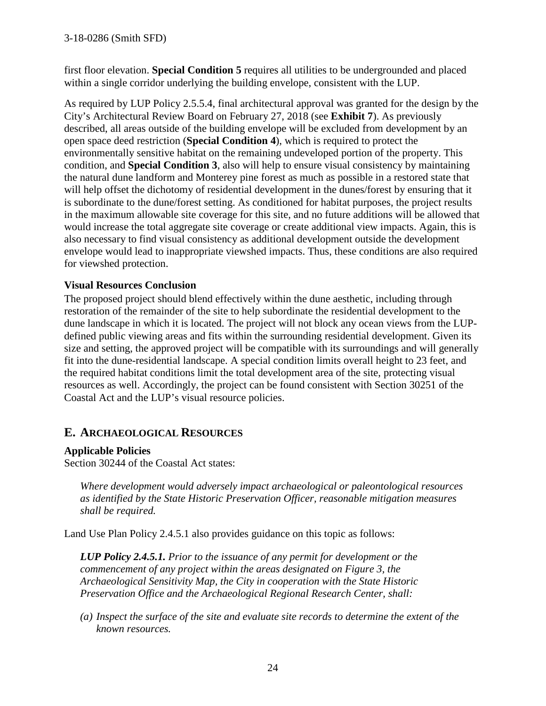first floor elevation. **Special Condition 5** requires all utilities to be undergrounded and placed within a single corridor underlying the building envelope, consistent with the LUP.

As required by LUP Policy 2.5.5.4, final architectural approval was granted for the design by the City's Architectural Review Board on February 27, 2018 (see **Exhibit 7**). As previously described, all areas outside of the building envelope will be excluded from development by an open space deed restriction (**Special Condition 4**), which is required to protect the environmentally sensitive habitat on the remaining undeveloped portion of the property. This condition, and **Special Condition 3**, also will help to ensure visual consistency by maintaining the natural dune landform and Monterey pine forest as much as possible in a restored state that will help offset the dichotomy of residential development in the dunes/forest by ensuring that it is subordinate to the dune/forest setting. As conditioned for habitat purposes, the project results in the maximum allowable site coverage for this site, and no future additions will be allowed that would increase the total aggregate site coverage or create additional view impacts. Again, this is also necessary to find visual consistency as additional development outside the development envelope would lead to inappropriate viewshed impacts. Thus, these conditions are also required for viewshed protection.

#### **Visual Resources Conclusion**

The proposed project should blend effectively within the dune aesthetic, including through restoration of the remainder of the site to help subordinate the residential development to the dune landscape in which it is located. The project will not block any ocean views from the LUPdefined public viewing areas and fits within the surrounding residential development. Given its size and setting, the approved project will be compatible with its surroundings and will generally fit into the dune-residential landscape. A special condition limits overall height to 23 feet, and the required habitat conditions limit the total development area of the site, protecting visual resources as well. Accordingly, the project can be found consistent with Section 30251 of the Coastal Act and the LUP's visual resource policies.

### **E. ARCHAEOLOGICAL RESOURCES**

#### **Applicable Policies**

Section 30244 of the Coastal Act states:

*Where development would adversely impact archaeological or paleontological resources as identified by the State Historic Preservation Officer, reasonable mitigation measures shall be required.* 

Land Use Plan Policy 2.4.5.1 also provides guidance on this topic as follows:

*LUP Policy 2.4.5.1. Prior to the issuance of any permit for development or the commencement of any project within the areas designated on Figure 3, the Archaeological Sensitivity Map, the City in cooperation with the State Historic Preservation Office and the Archaeological Regional Research Center, shall:* 

*(a) Inspect the surface of the site and evaluate site records to determine the extent of the known resources.*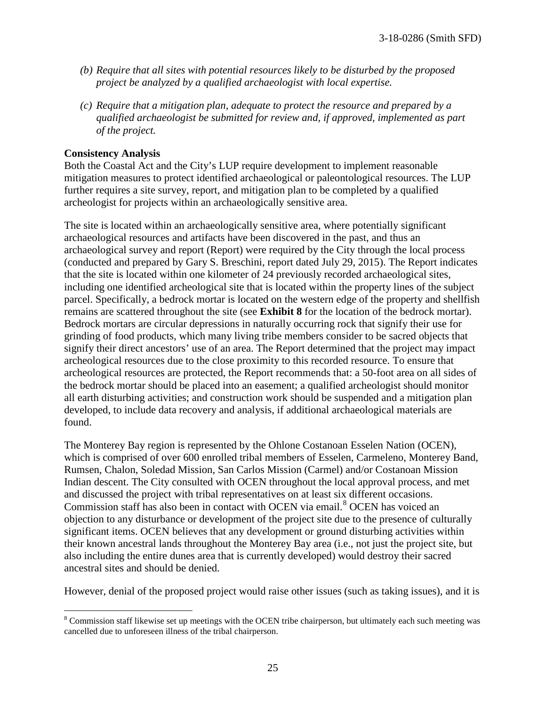- *(b) Require that all sites with potential resources likely to be disturbed by the proposed project be analyzed by a qualified archaeologist with local expertise.*
- *(c) Require that a mitigation plan, adequate to protect the resource and prepared by a qualified archaeologist be submitted for review and, if approved, implemented as part of the project.*

#### **Consistency Analysis**

Both the Coastal Act and the City's LUP require development to implement reasonable mitigation measures to protect identified archaeological or paleontological resources. The LUP further requires a site survey, report, and mitigation plan to be completed by a qualified archeologist for projects within an archaeologically sensitive area.

The site is located within an archaeologically sensitive area, where potentially significant archaeological resources and artifacts have been discovered in the past, and thus an archaeological survey and report (Report) were required by the City through the local process (conducted and prepared by Gary S. Breschini, report dated July 29, 2015). The Report indicates that the site is located within one kilometer of 24 previously recorded archaeological sites, including one identified archeological site that is located within the property lines of the subject parcel. Specifically, a bedrock mortar is located on the western edge of the property and shellfish remains are scattered throughout the site (see **Exhibit 8** for the location of the bedrock mortar). Bedrock mortars are circular depressions in naturally occurring rock that signify their use for grinding of food products, which many living tribe members consider to be sacred objects that signify their direct ancestors' use of an area. The Report determined that the project may impact archeological resources due to the close proximity to this recorded resource. To ensure that archeological resources are protected, the Report recommends that: a 50-foot area on all sides of the bedrock mortar should be placed into an easement; a qualified archeologist should monitor all earth disturbing activities; and construction work should be suspended and a mitigation plan developed, to include data recovery and analysis, if additional archaeological materials are found.

The Monterey Bay region is represented by the Ohlone Costanoan Esselen Nation (OCEN), which is comprised of over 600 enrolled tribal members of Esselen, Carmeleno, Monterey Band, Rumsen, Chalon, Soledad Mission, San Carlos Mission (Carmel) and/or Costanoan Mission Indian descent. The City consulted with OCEN throughout the local approval process, and met and discussed the project with tribal representatives on at least six different occasions. Commission staff has also been in contact with OCEN via email.<sup>[8](#page-24-0)</sup> OCEN has voiced an objection to any disturbance or development of the project site due to the presence of culturally significant items. OCEN believes that any development or ground disturbing activities within their known ancestral lands throughout the Monterey Bay area (i.e., not just the project site, but also including the entire dunes area that is currently developed) would destroy their sacred ancestral sites and should be denied.

However, denial of the proposed project would raise other issues (such as taking issues), and it is

<span id="page-24-0"></span> $\overline{a}$ <sup>8</sup> Commission staff likewise set up meetings with the OCEN tribe chairperson, but ultimately each such meeting was cancelled due to unforeseen illness of the tribal chairperson.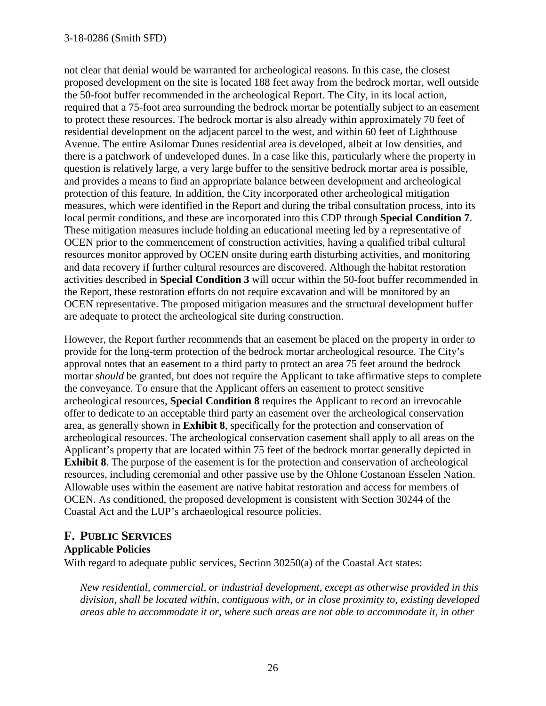#### 3-18-0286 (Smith SFD)

not clear that denial would be warranted for archeological reasons. In this case, the closest proposed development on the site is located 188 feet away from the bedrock mortar, well outside the 50-foot buffer recommended in the archeological Report. The City, in its local action, required that a 75-foot area surrounding the bedrock mortar be potentially subject to an easement to protect these resources. The bedrock mortar is also already within approximately 70 feet of residential development on the adjacent parcel to the west, and within 60 feet of Lighthouse Avenue. The entire Asilomar Dunes residential area is developed, albeit at low densities, and there is a patchwork of undeveloped dunes. In a case like this, particularly where the property in question is relatively large, a very large buffer to the sensitive bedrock mortar area is possible, and provides a means to find an appropriate balance between development and archeological protection of this feature. In addition, the City incorporated other archeological mitigation measures, which were identified in the Report and during the tribal consultation process, into its local permit conditions, and these are incorporated into this CDP through **Special Condition 7**. These mitigation measures include holding an educational meeting led by a representative of OCEN prior to the commencement of construction activities, having a qualified tribal cultural resources monitor approved by OCEN onsite during earth disturbing activities, and monitoring and data recovery if further cultural resources are discovered. Although the habitat restoration activities described in **Special Condition 3** will occur within the 50-foot buffer recommended in the Report, these restoration efforts do not require excavation and will be monitored by an OCEN representative. The proposed mitigation measures and the structural development buffer are adequate to protect the archeological site during construction.

However, the Report further recommends that an easement be placed on the property in order to provide for the long-term protection of the bedrock mortar archeological resource. The City's approval notes that an easement to a third party to protect an area 75 feet around the bedrock mortar *should* be granted, but does not require the Applicant to take affirmative steps to complete the conveyance. To ensure that the Applicant offers an easement to protect sensitive archeological resources, **Special Condition 8** requires the Applicant to record an irrevocable offer to dedicate to an acceptable third party an easement over the archeological conservation area, as generally shown in **Exhibit 8**, specifically for the protection and conservation of archeological resources. The archeological conservation casement shall apply to all areas on the Applicant's property that are located within 75 feet of the bedrock mortar generally depicted in **Exhibit 8**. The purpose of the easement is for the protection and conservation of archeological resources, including ceremonial and other passive use by the Ohlone Costanoan Esselen Nation. Allowable uses within the easement are native habitat restoration and access for members of OCEN. As conditioned, the proposed development is consistent with Section 30244 of the Coastal Act and the LUP's archaeological resource policies.

### **F. PUBLIC SERVICES Applicable Policies**

With regard to adequate public services, Section 30250(a) of the Coastal Act states:

*New residential, commercial, or industrial development, except as otherwise provided in this division, shall be located within, contiguous with, or in close proximity to, existing developed areas able to accommodate it or, where such areas are not able to accommodate it, in other*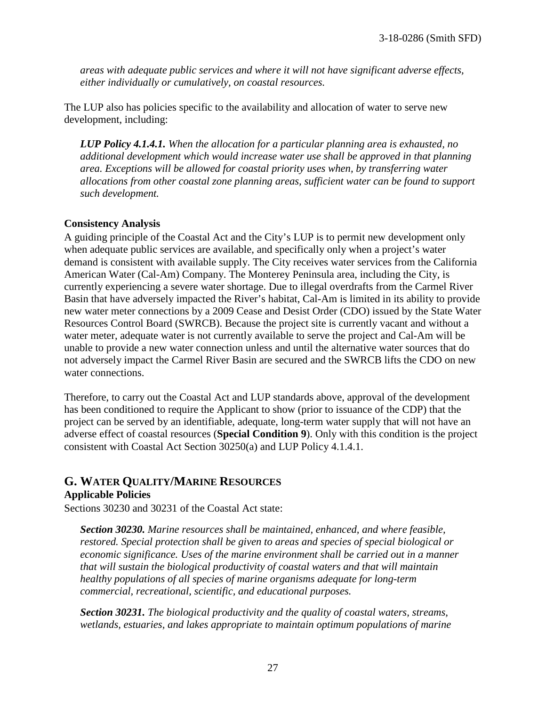*areas with adequate public services and where it will not have significant adverse effects, either individually or cumulatively, on coastal resources.* 

The LUP also has policies specific to the availability and allocation of water to serve new development, including:

*LUP Policy 4.1.4.1. When the allocation for a particular planning area is exhausted, no additional development which would increase water use shall be approved in that planning area. Exceptions will be allowed for coastal priority uses when, by transferring water allocations from other coastal zone planning areas, sufficient water can be found to support such development.* 

#### **Consistency Analysis**

A guiding principle of the Coastal Act and the City's LUP is to permit new development only when adequate public services are available, and specifically only when a project's water demand is consistent with available supply. The City receives water services from the California American Water (Cal-Am) Company. The Monterey Peninsula area, including the City, is currently experiencing a severe water shortage. Due to illegal overdrafts from the Carmel River Basin that have adversely impacted the River's habitat, Cal-Am is limited in its ability to provide new water meter connections by a 2009 Cease and Desist Order (CDO) issued by the State Water Resources Control Board (SWRCB). Because the project site is currently vacant and without a water meter, adequate water is not currently available to serve the project and Cal-Am will be unable to provide a new water connection unless and until the alternative water sources that do not adversely impact the Carmel River Basin are secured and the SWRCB lifts the CDO on new water connections.

Therefore, to carry out the Coastal Act and LUP standards above, approval of the development has been conditioned to require the Applicant to show (prior to issuance of the CDP) that the project can be served by an identifiable, adequate, long-term water supply that will not have an adverse effect of coastal resources (**Special Condition 9**). Only with this condition is the project consistent with Coastal Act Section 30250(a) and LUP Policy 4.1.4.1.

### **G. WATER QUALITY/MARINE RESOURCES Applicable Policies**

Sections 30230 and 30231 of the Coastal Act state:

*Section 30230. Marine resources shall be maintained, enhanced, and where feasible, restored. Special protection shall be given to areas and species of special biological or economic significance. Uses of the marine environment shall be carried out in a manner that will sustain the biological productivity of coastal waters and that will maintain healthy populations of all species of marine organisms adequate for long-term commercial, recreational, scientific, and educational purposes.* 

*Section 30231. The biological productivity and the quality of coastal waters, streams, wetlands, estuaries, and lakes appropriate to maintain optimum populations of marine*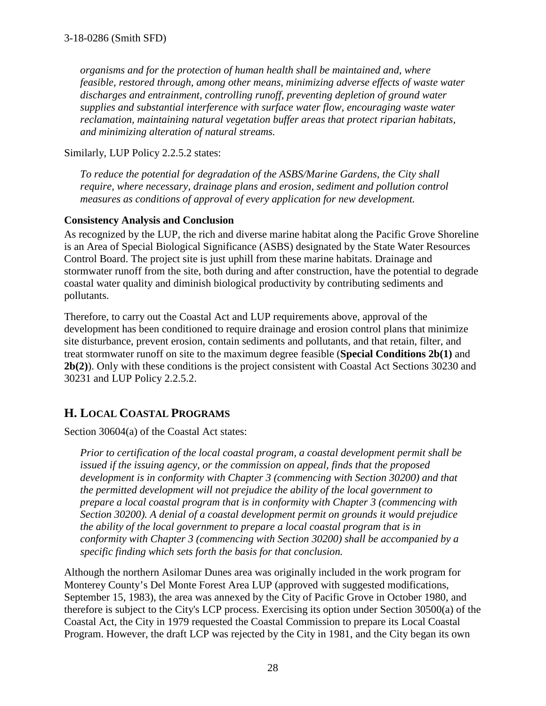*organisms and for the protection of human health shall be maintained and, where feasible, restored through, among other means, minimizing adverse effects of waste water discharges and entrainment, controlling runoff, preventing depletion of ground water supplies and substantial interference with surface water flow, encouraging waste water reclamation, maintaining natural vegetation buffer areas that protect riparian habitats, and minimizing alteration of natural streams.* 

Similarly, LUP Policy 2.2.5.2 states:

*To reduce the potential for degradation of the ASBS/Marine Gardens, the City shall require, where necessary, drainage plans and erosion, sediment and pollution control measures as conditions of approval of every application for new development.* 

#### **Consistency Analysis and Conclusion**

As recognized by the LUP, the rich and diverse marine habitat along the Pacific Grove Shoreline is an Area of Special Biological Significance (ASBS) designated by the State Water Resources Control Board. The project site is just uphill from these marine habitats. Drainage and stormwater runoff from the site, both during and after construction, have the potential to degrade coastal water quality and diminish biological productivity by contributing sediments and pollutants.

Therefore, to carry out the Coastal Act and LUP requirements above, approval of the development has been conditioned to require drainage and erosion control plans that minimize site disturbance, prevent erosion, contain sediments and pollutants, and that retain, filter, and treat stormwater runoff on site to the maximum degree feasible (**Special Conditions 2b(1)** and **2b(2)**). Only with these conditions is the project consistent with Coastal Act Sections 30230 and 30231 and LUP Policy 2.2.5.2.

# **H. LOCAL COASTAL PROGRAMS**

Section 30604(a) of the Coastal Act states:

*Prior to certification of the local coastal program, a coastal development permit shall be issued if the issuing agency, or the commission on appeal, finds that the proposed development is in conformity with Chapter 3 (commencing with Section 30200) and that the permitted development will not prejudice the ability of the local government to prepare a local coastal program that is in conformity with Chapter 3 (commencing with Section 30200). A denial of a coastal development permit on grounds it would prejudice the ability of the local government to prepare a local coastal program that is in conformity with Chapter 3 (commencing with Section 30200) shall be accompanied by a specific finding which sets forth the basis for that conclusion.* 

Although the northern Asilomar Dunes area was originally included in the work program for Monterey County's Del Monte Forest Area LUP (approved with suggested modifications, September 15, 1983), the area was annexed by the City of Pacific Grove in October 1980, and therefore is subject to the City's LCP process. Exercising its option under Section 30500(a) of the Coastal Act, the City in 1979 requested the Coastal Commission to prepare its Local Coastal Program. However, the draft LCP was rejected by the City in 1981, and the City began its own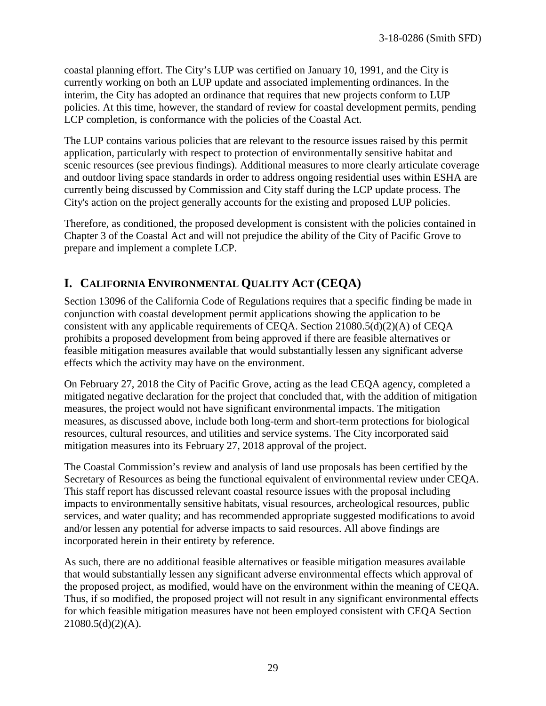coastal planning effort. The City's LUP was certified on January 10, 1991, and the City is currently working on both an LUP update and associated implementing ordinances. In the interim, the City has adopted an ordinance that requires that new projects conform to LUP policies. At this time, however, the standard of review for coastal development permits, pending LCP completion, is conformance with the policies of the Coastal Act.

The LUP contains various policies that are relevant to the resource issues raised by this permit application, particularly with respect to protection of environmentally sensitive habitat and scenic resources (see previous findings). Additional measures to more clearly articulate coverage and outdoor living space standards in order to address ongoing residential uses within ESHA are currently being discussed by Commission and City staff during the LCP update process. The City's action on the project generally accounts for the existing and proposed LUP policies.

Therefore, as conditioned, the proposed development is consistent with the policies contained in Chapter 3 of the Coastal Act and will not prejudice the ability of the City of Pacific Grove to prepare and implement a complete LCP.

# **I. CALIFORNIA ENVIRONMENTAL QUALITY ACT (CEQA)**

Section 13096 of the California Code of Regulations requires that a specific finding be made in conjunction with coastal development permit applications showing the application to be consistent with any applicable requirements of CEQA. Section 21080.5(d)(2)(A) of CEQA prohibits a proposed development from being approved if there are feasible alternatives or feasible mitigation measures available that would substantially lessen any significant adverse effects which the activity may have on the environment.

On February 27, 2018 the City of Pacific Grove, acting as the lead CEQA agency, completed a mitigated negative declaration for the project that concluded that, with the addition of mitigation measures, the project would not have significant environmental impacts. The mitigation measures, as discussed above, include both long-term and short-term protections for biological resources, cultural resources, and utilities and service systems. The City incorporated said mitigation measures into its February 27, 2018 approval of the project.

The Coastal Commission's review and analysis of land use proposals has been certified by the Secretary of Resources as being the functional equivalent of environmental review under CEQA. This staff report has discussed relevant coastal resource issues with the proposal including impacts to environmentally sensitive habitats, visual resources, archeological resources, public services, and water quality; and has recommended appropriate suggested modifications to avoid and/or lessen any potential for adverse impacts to said resources. All above findings are incorporated herein in their entirety by reference.

As such, there are no additional feasible alternatives or feasible mitigation measures available that would substantially lessen any significant adverse environmental effects which approval of the proposed project, as modified, would have on the environment within the meaning of CEQA. Thus, if so modified, the proposed project will not result in any significant environmental effects for which feasible mitigation measures have not been employed consistent with CEQA Section 21080.5(d)(2)(A).